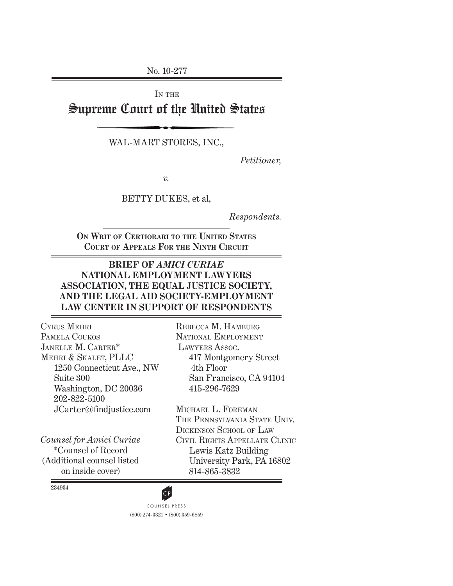No. 10-277

IN THE

# Supreme Court of the United States

WAL-MART STORES, INC.,

*Petitioner,*

*v.*

BETTY DUKES, et al,

*Respondents.*

**ON WRIT OF CERTIORARI TO THE UNITED STATES COURT OF APPEALS FOR THE NINTH CIRCUIT**

### **BRIEF OF** *AMICI CURIAE* **NATIONAL EMPLOYMENT LAWYERS ASSOCIATION, THE EQUAL JUSTICE SOCIETY, AND THE LEGAL AID SOCIETY-EMPLOYMENT LAW CENTER IN SUPPORT OF RESPONDENTS**

CYRUS MEHRI PAMELA COUKOS JANELLE M. CARTER\* MEHRI & SKALET, PLLC 1250 Connecticut Ave., NW Suite 300 Washington, DC 20036 202-822-5100 JCarter@findjustice.com

*Counsel for Amici Curiae* \*Counsel of Record (Additional counsel listed on inside cover)

REBECCA M. HAMBURG NATIONAL EMPLOYMENT LAWYERS ASSOC. 417 Montgomery Street 4th Floor San Francisco, CA 94104 415-296-7629

MICHAEL L. FOREMAN THE PENNSYLVANIA STATE UNIV. DICKINSON SCHOOL OF LAW CIVIL RIGHTS APPELLATE CLINIC Lewis Katz Building University Park, PA 16802 814-865-3832

234934

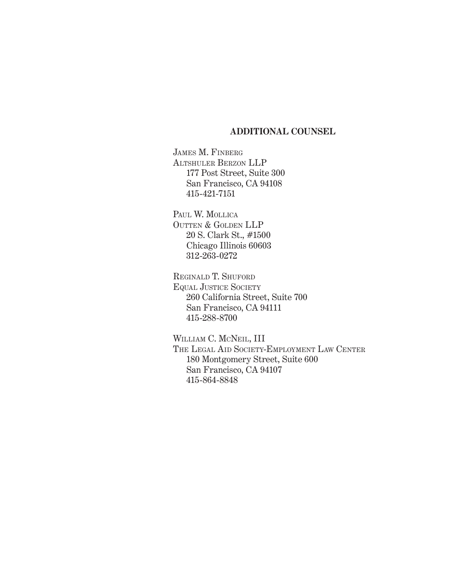### **ADDITIONAL COUNSEL**

JAMES M. FINBERG ALTSHULER BERZON LLP 177 Post Street, Suite 300 San Francisco, CA 94108 415-421-7151

PAUL W. MOLLICA OUTTEN & GOLDEN LLP 20 S. Clark St., #1500 Chicago Illinois 60603 312-263-0272

REGINALD T. SHUFORD EQUAL JUSTICE SOCIETY 260 California Street, Suite 700 San Francisco, CA 94111 415-288-8700

WILLIAM C. MCNEIL, III THE LEGAL AID SOCIETY-EMPLOYMENT LAW CENTER 180 Montgomery Street, Suite 600 San Francisco, CA 94107 415-864-8848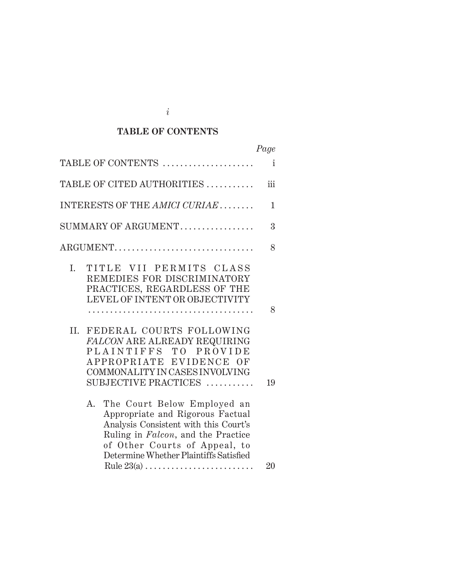## **TABLE OF CONTENTS**

|                                                                                                                                                                                                                                                                                                                        | Page         |
|------------------------------------------------------------------------------------------------------------------------------------------------------------------------------------------------------------------------------------------------------------------------------------------------------------------------|--------------|
| TABLE OF CONTENTS                                                                                                                                                                                                                                                                                                      | $\mathbf{i}$ |
| TABLE OF CITED AUTHORITIES                                                                                                                                                                                                                                                                                             | iii          |
| INTERESTS OF THE AMICI CURIAE                                                                                                                                                                                                                                                                                          | 1            |
| SUMMARY OF ARGUMENT                                                                                                                                                                                                                                                                                                    | 3            |
| ARGUMENT                                                                                                                                                                                                                                                                                                               | 8            |
| TITLE VII PERMITS CLASS<br>Ι.<br>REMEDIES FOR DISCRIMINATORY<br>PRACTICES, REGARDLESS OF THE<br>LEVEL OF INTENT OR OBJECTIVITY<br>FEDERAL COURTS FOLLOWING<br>II.<br><b>FALCON ARE ALREADY REQUIRING</b><br>PLAINTIFFS TO PROVIDE<br>APPROPRIATE EVIDENCE OF<br>COMMONALITY IN CASES INVOLVING<br>SUBJECTIVE PRACTICES | 8<br>19      |
| The Court Below Employed an<br>A.<br>Appropriate and Rigorous Factual<br>Analysis Consistent with this Court's<br>Ruling in Falcon, and the Practice<br>of Other Courts of Appeal, to<br>Determine Whether Plaintiffs Satisfied                                                                                        | 20           |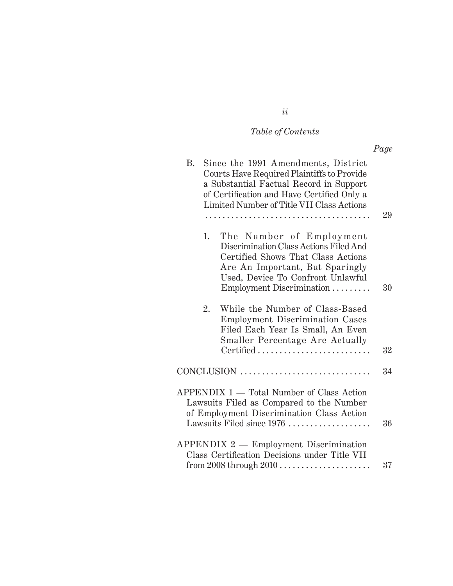# *Table of Contents*

|                                                                                                                                                                                                                                      | Page |
|--------------------------------------------------------------------------------------------------------------------------------------------------------------------------------------------------------------------------------------|------|
| <b>B.</b><br>Since the 1991 Amendments, District<br>Courts Have Required Plaintiffs to Provide<br>a Substantial Factual Record in Support<br>of Certification and Have Certified Only a<br>Limited Number of Title VII Class Actions | 29   |
|                                                                                                                                                                                                                                      |      |
| 1.<br>The Number of Employment<br>Discrimination Class Actions Filed And<br>Certified Shows That Class Actions<br>Are An Important, But Sparingly<br>Used, Device To Confront Unlawful<br>Employment Discrimination                  | 30   |
| While the Number of Class-Based<br>2.<br>Employment Discrimination Cases<br>Filed Each Year Is Small, An Even<br>Smaller Percentage Are Actually<br>Certified                                                                        | 32   |
| $CONCLUSION \dots \dots \dots \dots \dots \dots \dots \dots \dots \dots \dots$                                                                                                                                                       | 34   |
| APPENDIX 1 — Total Number of Class Action<br>Lawsuits Filed as Compared to the Number<br>of Employment Discrimination Class Action<br>Lawsuits Filed since 1976                                                                      | 36   |
| APPENDIX 2 - Employment Discrimination<br>Class Certification Decisions under Title VII                                                                                                                                              |      |
|                                                                                                                                                                                                                                      | 37   |

*ii*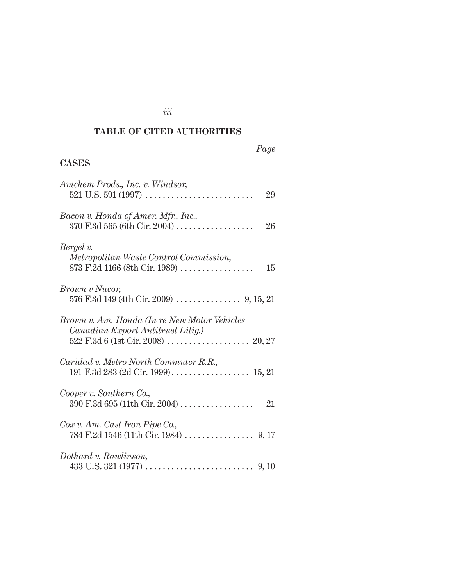## **TABLE OF CITED AUTHORITIES**

*iii*

## *Page*

## **CASES**

| Amchem Prods., Inc. v. Windsor,<br>29                                                          |
|------------------------------------------------------------------------------------------------|
| Bacon v. Honda of Amer. Mfr., Inc.,<br>$370$ F.3d 565 (6th Cir. 2004)<br>26                    |
| Bergel v.<br>Metropolitan Waste Control Commission,<br>873 F.2d 1166 (8th Cir. 1989)<br>15     |
| <i>Brown v Nucor,</i>                                                                          |
| Brown v. Am. Honda (In re New Motor Vehicles<br>Canadian Export Antitrust Litig.)              |
| Caridad v. Metro North Commuter R.R.,                                                          |
| Cooper v. Southern Co.,<br>$390 \text{ F.}3d \text{ }695 \text{ (11th Cir. }2004) \dots$<br>21 |
| Cox v. Am. Cast Iron Pipe Co.,                                                                 |
| Dothard v. Rawlinson,                                                                          |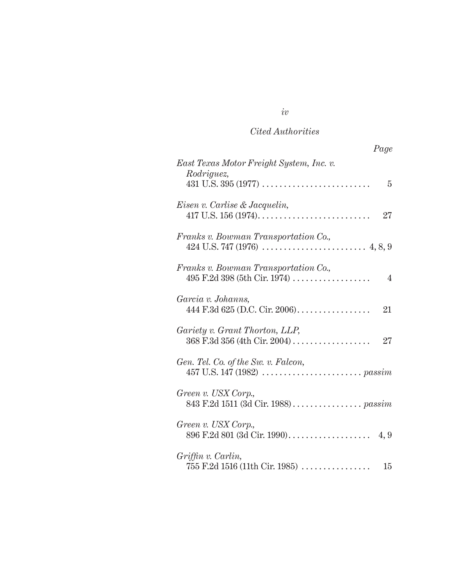## *Cited Authorities*

| Page                                                                                     |
|------------------------------------------------------------------------------------------|
| East Texas Motor Freight System, Inc. v.<br>Rodriguez,<br>5                              |
| Eisen v. Carlise & Jacquelin,<br>27                                                      |
| Franks v. Bowman Transportation Co.,                                                     |
| Franks v. Bowman Transportation Co.,<br>$495$ F.2d 398 (5th Cir. 1974)<br>$\overline{4}$ |
| Garcia v. Johanns,<br>21                                                                 |
| Gariety v. Grant Thorton, LLP,<br>$368$ F.3d $356$ (4th Cir. 2004)<br>$27\,$             |
| Gen. Tel. Co. of the Sw. v. Falcon,                                                      |
| Green v. USX Corp.,                                                                      |
| Green v. USX Corp.,                                                                      |
| Griffin v. Carlin,<br>$755$ F.2d 1516 (11th Cir. 1985)<br>15                             |

# *iv*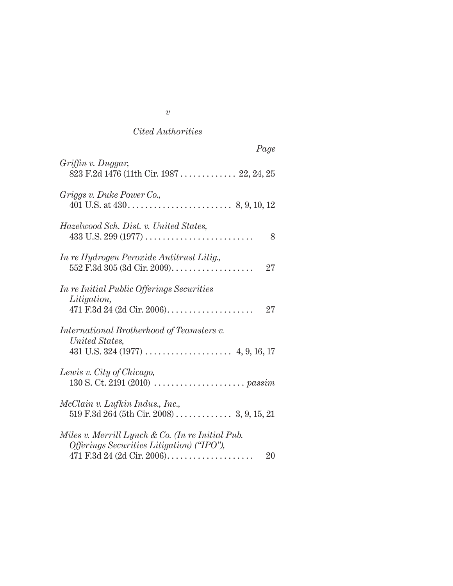### *Cited Authorities*

| Page                                                                                                |
|-----------------------------------------------------------------------------------------------------|
| Griffin v. Duggar,<br>823 F.2d 1476 (11th Cir. 1987  22, 24, 25                                     |
| Griggs v. Duke Power Co.,                                                                           |
| Hazelwood Sch. Dist. v. United States,<br>8                                                         |
| In re Hydrogen Peroxide Antitrust Litig.,<br>$552$ F.3d $305$ (3d Cir. 2009)<br>27                  |
| <i>In re Initial Public Offerings Securities</i><br><i>Litigation,</i><br>27                        |
| International Brotherhood of Teamsters v.<br>United States,                                         |
| Lewis v. City of Chicago,                                                                           |
| McClain v. Lufkin Indus., Inc.,                                                                     |
| Miles v. Merrill Lynch & Co. (In re Initial Pub.<br>Offerings Securities Litigation) ("IPO"),<br>20 |

#### *v*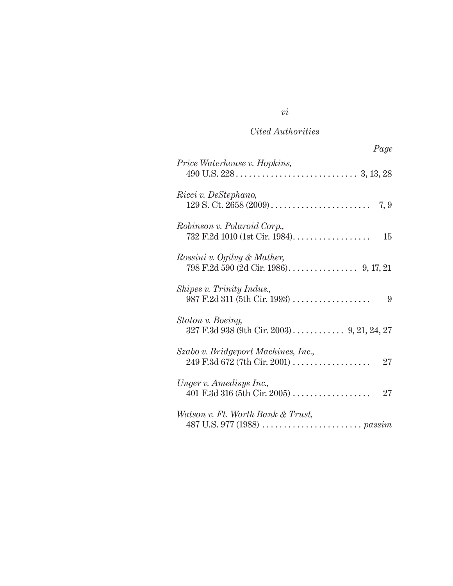### *Cited Authorities*

| Page                                                             |
|------------------------------------------------------------------|
| Price Waterhouse v. Hopkins,                                     |
| Ricci v. DeStephano,                                             |
| Robinson v. Polaroid Corp.,                                      |
| Rossini v. Ogilvy & Mather,                                      |
| Shipes v. Trinity Indus.,<br>$987$ F.2d 311 (5th Cir. 1993)<br>9 |
| Staton v. Boeing,<br>327 F.3d 938 (9th Cir. 2003) 9, 21, 24, 27  |
| Szabo v. Bridgeport Machines, Inc.,<br>$27\,$                    |
| Unger v. Amedisys Inc.,<br>27                                    |
| Watson v. Ft. Worth Bank & Trust,                                |

*vi*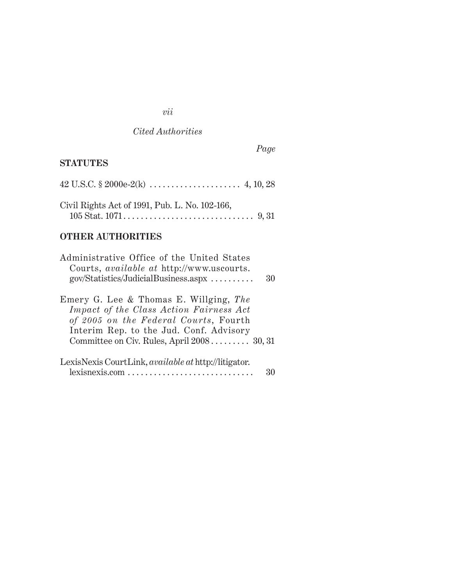## *vii*

## *Cited Authorities*

*Page*

## **STATUTES**

| Civil Rights Act of 1991, Pub. L. No. 102-166, |  |
|------------------------------------------------|--|
|                                                |  |

## **OTHER AUTHORITIES**

| Administrative Office of the United States<br>Courts, <i>available at http://www.uscourts.</i><br>gov/Statistics/JudicialBusiness.aspx                                | 30 |
|-----------------------------------------------------------------------------------------------------------------------------------------------------------------------|----|
| Emery G. Lee & Thomas E. Willging, The<br>Impact of the Class Action Fairness Act<br>of 2005 on the Federal Courts, Fourth<br>Interim Rep. to the Jud. Conf. Advisory |    |
| Committee on Civ. Rules, April $2008$ 30, 31                                                                                                                          |    |
| LexisNexis CourtLink, <i>available at</i> http://litigator.<br>lexisnexis.com                                                                                         |    |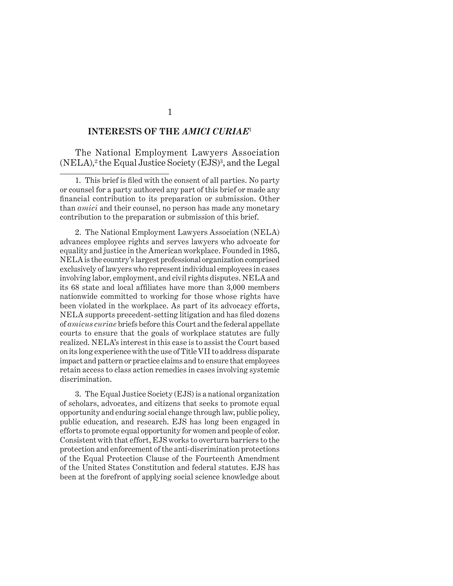#### **INTERESTS OF THE** *AMICI CURIAE*<sup>1</sup>

The National Employment Lawyers Association (NELA),<sup>2</sup> the Equal Justice Society (EJS)<sup>3</sup>, and the Legal

1. This brief is filed with the consent of all parties. No party or counsel for a party authored any part of this brief or made any financial contribution to its preparation or submission. Other than *amici* and their counsel, no person has made any monetary contribution to the preparation or submission of this brief.

2. The National Employment Lawyers Association (NELA) advances employee rights and serves lawyers who advocate for equality and justice in the American workplace. Founded in 1985, NELA is the country's largest professional organization comprised exclusively of lawyers who represent individual employees in cases involving labor, employment, and civil rights disputes. NELA and its 68 state and local affiliates have more than 3,000 members nationwide committed to working for those whose rights have been violated in the workplace. As part of its advocacy efforts, NELA supports precedent-setting litigation and has filed dozens of *amicus curiae* briefs before this Court and the federal appellate courts to ensure that the goals of workplace statutes are fully realized. NELA's interest in this case is to assist the Court based on its long experience with the use of Title VII to address disparate impact and pattern or practice claims and to ensure that employees retain access to class action remedies in cases involving systemic discrimination.

3. The Equal Justice Society (EJS) is a national organization of scholars, advocates, and citizens that seeks to promote equal opportunity and enduring social change through law, public policy, public education, and research. EJS has long been engaged in efforts to promote equal opportunity for women and people of color. Consistent with that effort, EJS works to overturn barriers to the protection and enforcement of the anti-discrimination protections of the Equal Protection Clause of the Fourteenth Amendment of the United States Constitution and federal statutes. EJS has been at the forefront of applying social science knowledge about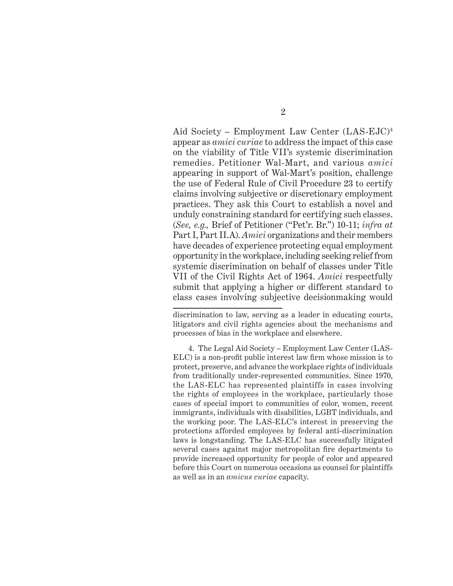Aid Society – Employment Law Center (LAS-EJC)4 appear as *amici curiae* to address the impact of this case on the viability of Title VII's systemic discrimination remedies. Petitioner Wal-Mart, and various *amici* appearing in support of Wal-Mart's position, challenge the use of Federal Rule of Civil Procedure 23 to certify claims involving subjective or discretionary employment practices. They ask this Court to establish a novel and unduly constraining standard for certifying such classes. (*See, e.g.,* Brief of Petitioner ("Pet'r. Br.") 10-11; *infra at* Part I, Part II.A). *Amici* organizations and their members have decades of experience protecting equal employment opportunity in the workplace, including seeking relief from systemic discrimination on behalf of classes under Title VII of the Civil Rights Act of 1964. *Amici* respectfully submit that applying a higher or different standard to class cases involving subjective decisionmaking would

4. The Legal Aid Society – Employment Law Center (LAS- $ELC$ ) is a non-profit public interest law firm whose mission is to protect, preserve, and advance the workplace rights of individuals from traditionally under-represented communities. Since 1970, the LAS-ELC has represented plaintiffs in cases involving the rights of employees in the workplace, particularly those cases of special import to communities of color, women, recent immigrants, individuals with disabilities, LGBT individuals, and the working poor. The LAS-ELC's interest in preserving the protections afforded employees by federal anti-discrimination laws is longstanding. The LAS-ELC has successfully litigated several cases against major metropolitan fire departments to provide increased opportunity for people of color and appeared before this Court on numerous occasions as counsel for plaintiffs as well as in an *amicus curiae* capacity.

discrimination to law, serving as a leader in educating courts, litigators and civil rights agencies about the mechanisms and processes of bias in the workplace and elsewhere.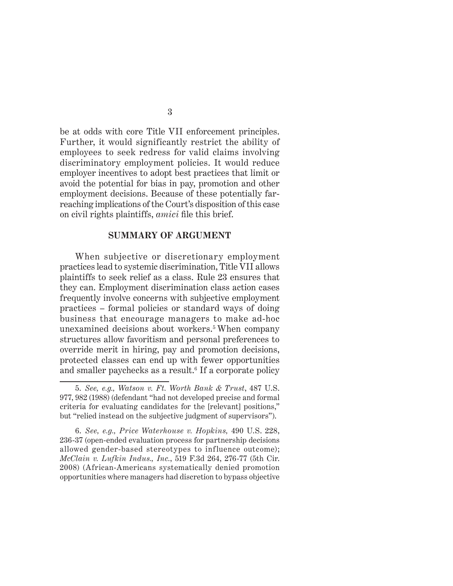be at odds with core Title VII enforcement principles. Further, it would significantly restrict the ability of employees to seek redress for valid claims involving discriminatory employment policies. It would reduce employer incentives to adopt best practices that limit or avoid the potential for bias in pay, promotion and other employment decisions. Because of these potentially farreaching implications of the Court's disposition of this case on civil rights plaintiffs, *amici* file this brief.

#### **SUMMARY OF ARGUMENT**

When subjective or discretionary employment practices lead to systemic discrimination, Title VII allows plaintiffs to seek relief as a class. Rule 23 ensures that they can. Employment discrimination class action cases frequently involve concerns with subjective employment practices – formal policies or standard ways of doing business that encourage managers to make ad-hoc unexamined decisions about workers.<sup>5</sup> When company structures allow favoritism and personal preferences to override merit in hiring, pay and promotion decisions, protected classes can end up with fewer opportunities and smaller paychecks as a result.<sup>6</sup> If a corporate policy

<sup>5.</sup> *See, e.g., Watson v. Ft. Worth Bank & Trust*, 487 U.S. 977, 982 (1988) (defendant "had not developed precise and formal criteria for evaluating candidates for the [relevant] positions," but "relied instead on the subjective judgment of supervisors").

<sup>6.</sup> *See, e.g., Price Waterhouse v. Hopkins,* 490 U.S. 228, 236-37 (open-ended evaluation process for partnership decisions allowed gender-based stereotypes to influence outcome); *McClain v. Lufkin Indus., Inc.*, 519 F.3d 264, 276-77 (5th Cir. 2008) (African-Americans systematically denied promotion opportunities where managers had discretion to bypass objective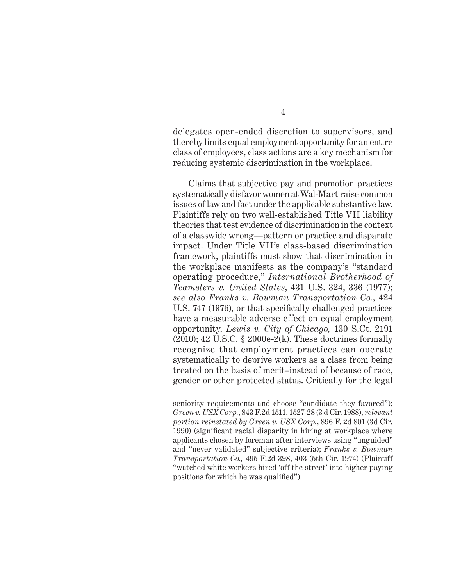delegates open-ended discretion to supervisors, and thereby limits equal employment opportunity for an entire class of employees, class actions are a key mechanism for reducing systemic discrimination in the workplace.

Claims that subjective pay and promotion practices systematically disfavor women at Wal-Mart raise common issues of law and fact under the applicable substantive law. Plaintiffs rely on two well-established Title VII liability theories that test evidence of discrimination in the context of a classwide wrong—pattern or practice and disparate impact. Under Title VII's class-based discrimination framework, plaintiffs must show that discrimination in the workplace manifests as the company's "standard operating procedure," *International Brotherhood of Teamsters v. United States*, 431 U.S. 324, 336 (1977); *see also Franks v. Bowman Transportation Co.*, 424 U.S. 747 (1976), or that specifically challenged practices have a measurable adverse effect on equal employment opportunity. *Lewis v. City of Chicago,* 130 S.Ct. 2191  $(2010); 42 \text{ U.S.C. }$  §  $2000 \text{e-}2(k)$ . These doctrines formally recognize that employment practices can operate systematically to deprive workers as a class from being treated on the basis of merit–instead of because of race, gender or other protected status. Critically for the legal

seniority requirements and choose "candidate they favored"); *Green v. USX Corp.*, 843 F.2d 1511, 1527-28 (3 d Cir. 1988), *relevant portion reinstated by Green v. USX Corp.*, 896 F. 2d 801 (3d Cir. 1990) (significant racial disparity in hiring at workplace where applicants chosen by foreman after interviews using "unguided" and "never validated" subjective criteria); *Franks v. Bowman Transportation Co.,* 495 F.2d 398, 403 (5th Cir. 1974) (Plaintiff "watched white workers hired 'off the street' into higher paying positions for which he was qualified".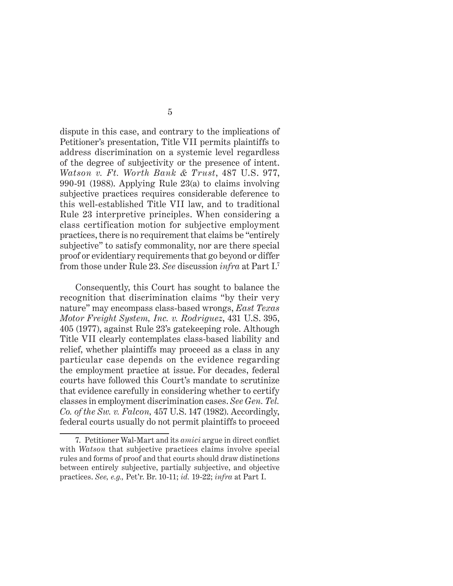dispute in this case, and contrary to the implications of Petitioner's presentation, Title VII permits plaintiffs to address discrimination on a systemic level regardless of the degree of subjectivity or the presence of intent. *Watson v. Ft. Worth Bank & Trust*, 487 U.S. 977, 990-91 (1988). Applying Rule 23(a) to claims involving subjective practices requires considerable deference to this well-established Title VII law, and to traditional Rule 23 interpretive principles. When considering a class certification motion for subjective employment practices, there is no requirement that claims be "entirely subjective" to satisfy commonality, nor are there special proof or evidentiary requirements that go beyond or differ from those under Rule 23. *See* discussion *infra* at Part I.7

Consequently, this Court has sought to balance the recognition that discrimination claims "by their very nature" may encompass class-based wrongs, *East Texas Motor Freight System, Inc. v. Rodriguez*, 431 U.S. 395, 405 (1977), against Rule 23's gatekeeping role. Although Title VII clearly contemplates class-based liability and relief, whether plaintiffs may proceed as a class in any particular case depends on the evidence regarding the employment practice at issue. For decades, federal courts have followed this Court's mandate to scrutinize that evidence carefully in considering whether to certify classes in employment discrimination cases. *See Gen. Tel. Co. of the Sw. v. Falcon,* 457 U.S. 147 (1982). Accordingly, federal courts usually do not permit plaintiffs to proceed

<sup>7.</sup> Petitioner Wal-Mart and its *amici* argue in direct conflict with *Watson* that subjective practices claims involve special rules and forms of proof and that courts should draw distinctions between entirely subjective, partially subjective, and objective practices. *See, e.g.,* Pet'r. Br. 10-11; *id.* 19-22; *infra* at Part I.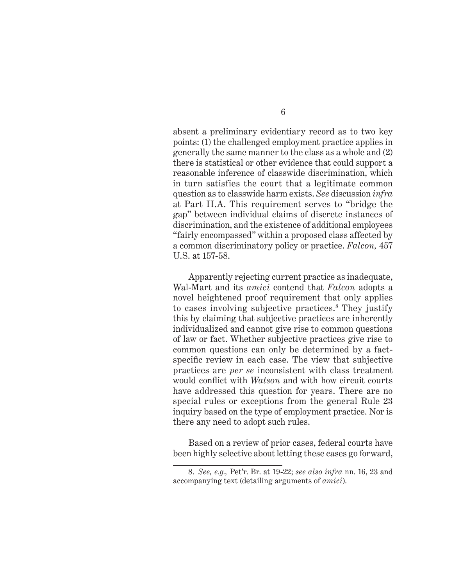absent a preliminary evidentiary record as to two key points: (1) the challenged employment practice applies in generally the same manner to the class as a whole and (2) there is statistical or other evidence that could support a reasonable inference of classwide discrimination, which in turn satisfies the court that a legitimate common question as to classwide harm exists. *See* discussion *infra* at Part II.A. This requirement serves to "bridge the gap" between individual claims of discrete instances of discrimination, and the existence of additional employees "fairly encompassed" within a proposed class affected by a common discriminatory policy or practice. *Falcon,* 457 U.S. at 157-58.

Apparently rejecting current practice as inadequate, Wal-Mart and its *amici* contend that *Falcon* adopts a novel heightened proof requirement that only applies to cases involving subjective practices.8 They justify this by claiming that subjective practices are inherently individualized and cannot give rise to common questions of law or fact. Whether subjective practices give rise to common questions can only be determined by a factspecific review in each case. The view that subjective practices are *per se* inconsistent with class treatment would conflict with *Watson* and with how circuit courts have addressed this question for years. There are no special rules or exceptions from the general Rule 23 inquiry based on the type of employment practice. Nor is there any need to adopt such rules.

Based on a review of prior cases, federal courts have been highly selective about letting these cases go forward,

<sup>8.</sup> *See, e.g.,* Pet'r. Br. at 19-22; *see also infra* nn. 16, 23 and accompanying text (detailing arguments of *amici*).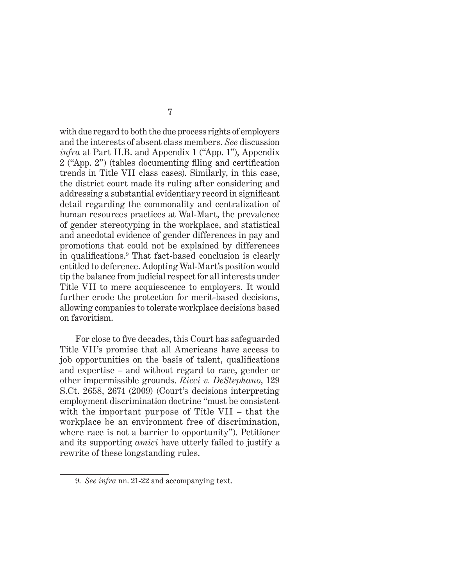with due regard to both the due process rights of employers and the interests of absent class members. *See* discussion *infra* at Part II.B. and Appendix 1 ("App. 1"), Appendix  $2$  ("App.  $2$ ") (tables documenting filing and certification trends in Title VII class cases). Similarly, in this case, the district court made its ruling after considering and addressing a substantial evidentiary record in significant detail regarding the commonality and centralization of human resources practices at Wal-Mart, the prevalence of gender stereotyping in the workplace, and statistical and anecdotal evidence of gender differences in pay and promotions that could not be explained by differences in qualifications.<sup>9</sup> That fact-based conclusion is clearly entitled to deference. Adopting Wal-Mart's position would tip the balance from judicial respect for all interests under Title VII to mere acquiescence to employers. It would further erode the protection for merit-based decisions, allowing companies to tolerate workplace decisions based on favoritism.

For close to five decades, this Court has safeguarded Title VII's promise that all Americans have access to job opportunities on the basis of talent, qualifications and expertise – and without regard to race, gender or other impermissible grounds. *Ricci v. DeStephano*, 129 S.Ct. 2658, 2674 (2009) (Court's decisions interpreting employment discrimination doctrine "must be consistent with the important purpose of Title VII – that the workplace be an environment free of discrimination, where race is not a barrier to opportunity"). Petitioner and its supporting *amici* have utterly failed to justify a rewrite of these longstanding rules.

<sup>9.</sup> *See infra* nn. 21-22 and accompanying text.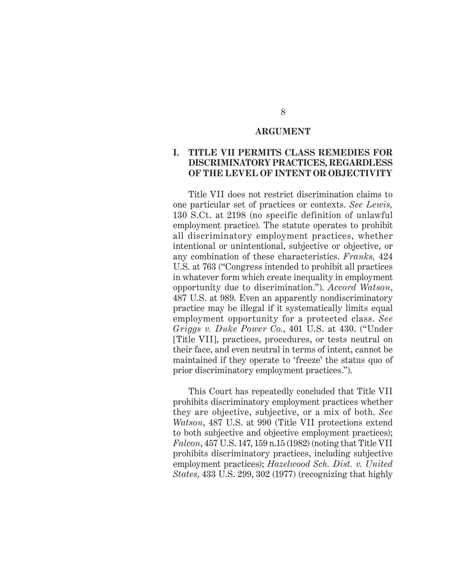#### **ARGUMENT**

#### **I. TITLE VII PERMITS CLASS REMEDIES FOR DISCRIMINATORY PRACTICES, REGARDLESS OF THE LEVEL OF INTENT OR OBJECTIVITY**

Title VII does not restrict discrimination claims to one particular set of practices or contexts. *See Lewis,* 130 S.Ct. at 2198 (no specific definition of unlawful employment practice). The statute operates to prohibit all discriminatory employment practices, whether intentional or unintentional, subjective or objective, or any combination of these characteristics. *Franks,* 424 U.S. at 763 ("Congress intended to prohibit all practices in whatever form which create inequality in employment opportunity due to discrimination."). *Accord Watson*, 487 U.S. at 989. Even an apparently nondiscriminatory practice may be illegal if it systematically limits equal employment opportunity for a protected class. *See Griggs v. Duke Power Co.*, 401 U.S. at 430. ("Under [Title VII], practices, procedures, or tests neutral on their face, and even neutral in terms of intent, cannot be maintained if they operate to 'freeze' the status quo of prior discriminatory employment practices.").

This Court has repeatedly concluded that Title VII prohibits discriminatory employment practices whether they are objective, subjective, or a mix of both. *See Watson*, 487 U.S. at 990 (Title VII protections extend to both subjective and objective employment practices); *Falcon*, 457 U.S. 147, 159 n.15 (1982) (noting that Title VII prohibits discriminatory practices, including subjective employment practices); *Hazelwood Sch. Dist. v. United States*, 433 U.S. 299, 302 (1977) (recognizing that highly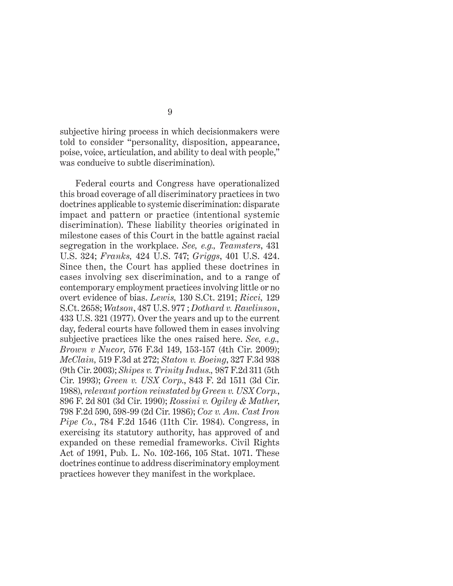subjective hiring process in which decisionmakers were told to consider "personality, disposition, appearance, poise, voice, articulation, and ability to deal with people," was conducive to subtle discrimination).

Federal courts and Congress have operationalized this broad coverage of all discriminatory practices in two doctrines applicable to systemic discrimination: disparate impact and pattern or practice (intentional systemic discrimination). These liability theories originated in milestone cases of this Court in the battle against racial segregation in the workplace. *See, e.g., Teamsters*, 431 U.S. 324; *Franks,* 424 U.S. 747; *Griggs*, 401 U.S. 424. Since then, the Court has applied these doctrines in cases involving sex discrimination, and to a range of contemporary employment practices involving little or no overt evidence of bias. *Lewis,* 130 S.Ct. 2191; *Ricci,* 129 S.Ct. 2658; *Watson*, 487 U.S. 977 ; *Dothard v. Rawlinson*, 433 U.S. 321 (1977). Over the years and up to the current day, federal courts have followed them in cases involving subjective practices like the ones raised here. *See, e.g., Brown v Nucor*, 576 F.3d 149, 153-157 (4th Cir. 2009); *McClain,* 519 F.3d at 272; *Staton v. Boeing*, 327 F.3d 938 (9th Cir. 2003); *Shipes v. Trinity Indus.,* 987 F.2d 311 (5th Cir. 1993); *Green v. USX Corp*., 843 F. 2d 1511 (3d Cir. 1988), *relevant portion reinstated by Green v. USX Corp.*, 896 F. 2d 801 (3d Cir. 1990); *Rossini v. Ogilvy & Mather*, 798 F.2d 590, 598-99 (2d Cir. 1986); *Cox v. Am. Cast Iron Pipe Co.*, 784 F.2d 1546 (11th Cir. 1984). Congress, in exercising its statutory authority, has approved of and expanded on these remedial frameworks. Civil Rights Act of 1991, Pub. L. No. 102-166, 105 Stat. 1071. These doctrines continue to address discriminatory employment practices however they manifest in the workplace.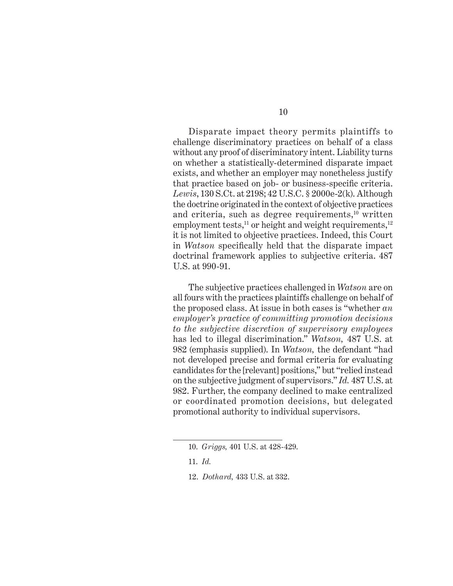Disparate impact theory permits plaintiffs to challenge discriminatory practices on behalf of a class without any proof of discriminatory intent. Liability turns on whether a statistically-determined disparate impact exists, and whether an employer may nonetheless justify that practice based on job- or business-specific criteria. *Lewis*, 130 S.Ct. at 2198; 42 U.S.C. § 2000e-2(k). Although the doctrine originated in the context of objective practices and criteria, such as degree requirements,<sup>10</sup> written employment tests,<sup>11</sup> or height and weight requirements,<sup>12</sup> it is not limited to objective practices. Indeed, this Court in *Watson* specifically held that the disparate impact doctrinal framework applies to subjective criteria. 487 U.S. at 990-91.

The subjective practices challenged in *Watson* are on all fours with the practices plaintiffs challenge on behalf of the proposed class. At issue in both cases is "whether *an employer's practice of committing promotion decisions to the subjective discretion of supervisory employees* has led to illegal discrimination." *Watson,* 487 U.S. at 982 (emphasis supplied). In *Watson,* the defendant "had not developed precise and formal criteria for evaluating candidates for the [relevant] positions," but "relied instead on the subjective judgment of supervisors." *Id.* 487 U.S. at 982. Further, the company declined to make centralized or coordinated promotion decisions, but delegated promotional authority to individual supervisors.

<sup>10.</sup> *Griggs,* 401 U.S. at 428-429.

<sup>11.</sup> *Id.*

<sup>12.</sup> *Dothard,* 433 U.S. at 332.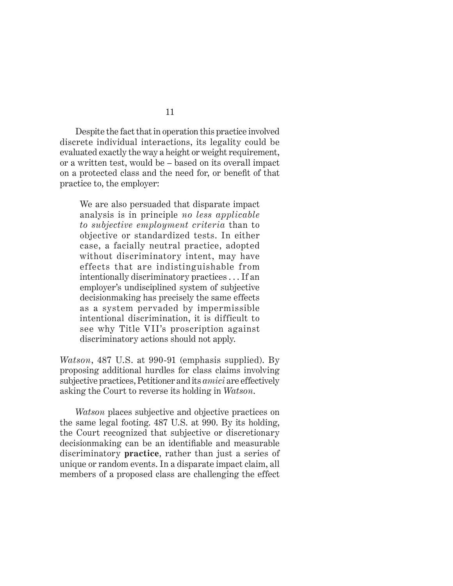Despite the fact that in operation this practice involved discrete individual interactions, its legality could be evaluated exactly the way a height or weight requirement, or a written test, would be – based on its overall impact on a protected class and the need for, or benefit of that practice to, the employer:

We are also persuaded that disparate impact analysis is in principle *no less applicable to subjective employment criteria* than to objective or standardized tests. In either case, a facially neutral practice, adopted without discriminatory intent, may have effects that are indistinguishable from intentionally discriminatory practices . . . If an employer's undisciplined system of subjective decisionmaking has precisely the same effects as a system pervaded by impermissible intentional discrimination, it is difficult to see why Title VII's proscription against discriminatory actions should not apply.

*Watson*, 487 U.S. at 990-91 (emphasis supplied). By proposing additional hurdles for class claims involving subjective practices, Petitioner and its *amici* are effectively asking the Court to reverse its holding in *Watson*.

*Watson* places subjective and objective practices on the same legal footing. 487 U.S. at 990. By its holding, the Court recognized that subjective or discretionary decisionmaking can be an identifiable and measurable discriminatory **practice**, rather than just a series of unique or random events. In a disparate impact claim, all members of a proposed class are challenging the effect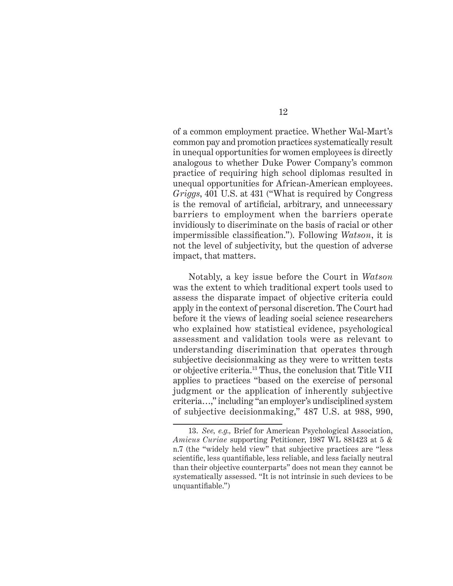of a common employment practice. Whether Wal-Mart's common pay and promotion practices systematically result in unequal opportunities for women employees is directly analogous to whether Duke Power Company's common practice of requiring high school diplomas resulted in unequal opportunities for African-American employees. *Griggs*, 401 U.S. at 431 ("What is required by Congress is the removal of artificial, arbitrary, and unnecessary barriers to employment when the barriers operate invidiously to discriminate on the basis of racial or other impermissible classification."). Following *Watson*, it is not the level of subjectivity, but the question of adverse impact, that matters.

Notably, a key issue before the Court in *Watson* was the extent to which traditional expert tools used to assess the disparate impact of objective criteria could apply in the context of personal discretion. The Court had before it the views of leading social science researchers who explained how statistical evidence, psychological assessment and validation tools were as relevant to understanding discrimination that operates through subjective decisionmaking as they were to written tests or objective criteria.13 Thus, the conclusion that Title VII applies to practices "based on the exercise of personal judgment or the application of inherently subjective criteria…," including "an employer's undisciplined system of subjective decisionmaking," 487 U.S. at 988, 990,

<sup>13.</sup> *See, e.g.,* Brief for American Psychological Association, *Amicus Curiae* supporting Petitioner, 1987 WL 881423 at 5 & n.7 (the "widely held view" that subjective practices are "less scientific, less quantifiable, less reliable, and less facially neutral than their objective counterparts" does not mean they cannot be systematically assessed. "It is not intrinsic in such devices to be unquantifiable.")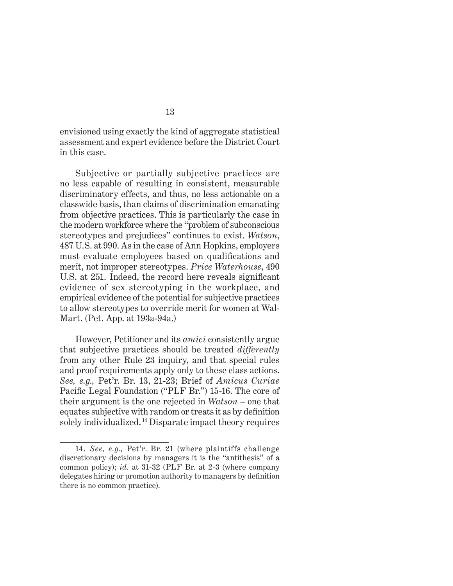envisioned using exactly the kind of aggregate statistical assessment and expert evidence before the District Court in this case.

Subjective or partially subjective practices are no less capable of resulting in consistent, measurable discriminatory effects, and thus, no less actionable on a classwide basis, than claims of discrimination emanating from objective practices. This is particularly the case in the modern workforce where the "problem of subconscious stereotypes and prejudices" continues to exist. *Watson*, 487 U.S. at 990. As in the case of Ann Hopkins, employers must evaluate employees based on qualifications and merit, not improper stereotypes. *Price Waterhouse*, 490 U.S. at 251. Indeed, the record here reveals significant evidence of sex stereotyping in the workplace, and empirical evidence of the potential for subjective practices to allow stereotypes to override merit for women at Wal-Mart. (Pet. App. at 193a-94a.)

However, Petitioner and its *amici* consistently argue that subjective practices should be treated *differently* from any other Rule 23 inquiry, and that special rules and proof requirements apply only to these class actions. *See, e.g.,* Pet'r. Br. 13, 21-23; Brief of *Amicus Curiae*  Pacific Legal Foundation ("PLF Br.") 15-16. The core of their argument is the one rejected in *Watson* – one that equates subjective with random or treats it as by definition solely individualized. 14 Disparate impact theory requires

<sup>14.</sup> *See, e.g.,* Pet'r. Br. 21 (where plaintiffs challenge discretionary decisions by managers it is the "antithesis" of a common policy); *id.* at 31-32 (PLF Br. at 2-3 (where company delegates hiring or promotion authority to managers by definition there is no common practice).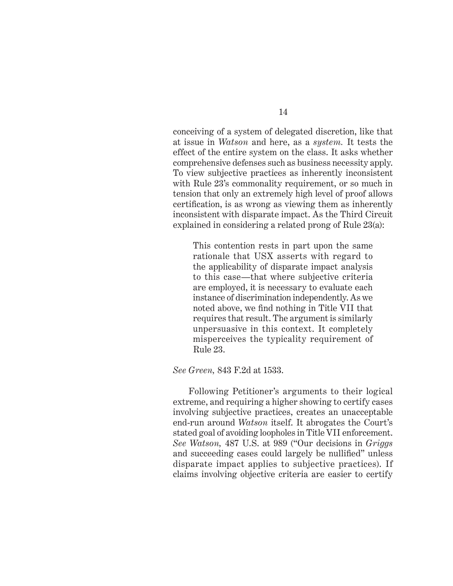conceiving of a system of delegated discretion, like that at issue in *Watson* and here, as a *system.* It tests the effect of the entire system on the class. It asks whether comprehensive defenses such as business necessity apply. To view subjective practices as inherently inconsistent with Rule 23's commonality requirement, or so much in tension that only an extremely high level of proof allows certification, is as wrong as viewing them as inherently inconsistent with disparate impact. As the Third Circuit explained in considering a related prong of Rule 23(a):

This contention rests in part upon the same rationale that USX asserts with regard to the applicability of disparate impact analysis to this case—that where subjective criteria are employed, it is necessary to evaluate each instance of discrimination independently. As we noted above, we find nothing in Title VII that requires that result. The argument is similarly unpersuasive in this context. It completely misperceives the typicality requirement of Rule 23.

#### *See Green,* 843 F.2d at 1533.

Following Petitioner's arguments to their logical extreme, and requiring a higher showing to certify cases involving subjective practices, creates an unacceptable end-run around *Watson* itself. It abrogates the Court's stated goal of avoiding loopholes in Title VII enforcement. *See Watson,* 487 U.S. at 989 ("Our decisions in *Griggs* and succeeding cases could largely be nullified" unless disparate impact applies to subjective practices). If claims involving objective criteria are easier to certify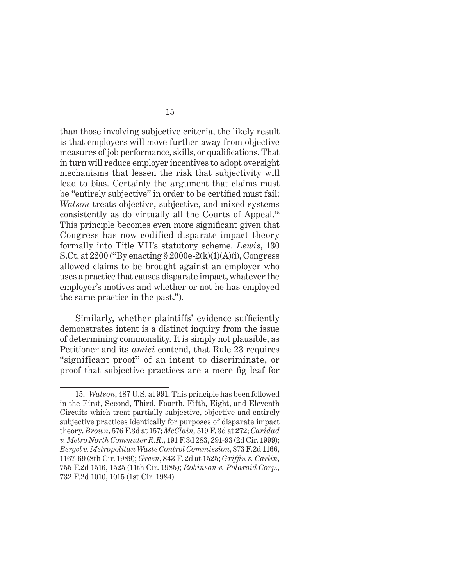than those involving subjective criteria, the likely result is that employers will move further away from objective measures of job performance, skills, or qualifications. That in turn will reduce employer incentives to adopt oversight mechanisms that lessen the risk that subjectivity will lead to bias. Certainly the argument that claims must be "entirely subjective" in order to be certified must fail: *Watson* treats objective, subjective, and mixed systems consistently as do virtually all the Courts of Appeal.15 This principle becomes even more significant given that Congress has now codified disparate impact theory formally into Title VII's statutory scheme. *Lewis*, 130 S.Ct. at  $2200$  ("By enacting  $\S 2000e-2(k)(1)(A)(i)$ , Congress allowed claims to be brought against an employer who uses a practice that causes disparate impact, whatever the employer's motives and whether or not he has employed the same practice in the past.").

Similarly, whether plaintiffs' evidence sufficiently demonstrates intent is a distinct inquiry from the issue of determining commonality. It is simply not plausible, as Petitioner and its *amici* contend, that Rule 23 requires "significant proof" of an intent to discriminate, or proof that subjective practices are a mere fig leaf for

<sup>15.</sup> *Watson*, 487 U.S. at 991. This principle has been followed in the First, Second, Third, Fourth, Fifth, Eight, and Eleventh Circuits which treat partially subjective, objective and entirely subjective practices identically for purposes of disparate impact theory. *Brown*, 576 F.3d at 157; *McClain,* 519 F. 3d at 272; *Caridad v. Metro North Commuter R.R.*, 191 F.3d 283, 291-93 (2d Cir. 1999); *Bergel v. Metropolitan Waste Control Commission*, 873 F.2d 1166, 1167-69 (8th Cir. 1989); *Green*, 843 F. 2d at 1525; *Griffi n v. Carlin*, 755 F.2d 1516, 1525 (11th Cir. 1985); *Robinson v. Polaroid Corp.*, 732 F.2d 1010, 1015 (1st Cir. 1984).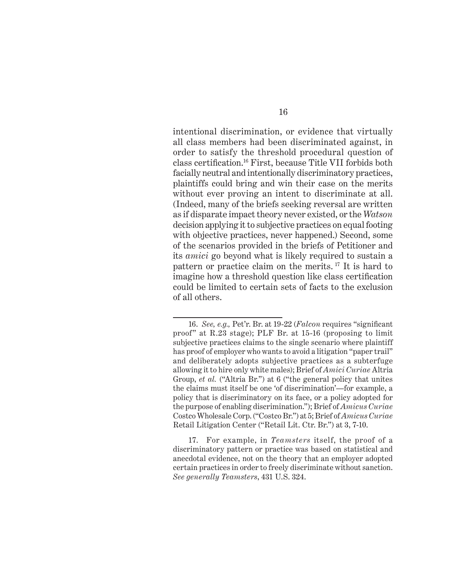intentional discrimination, or evidence that virtually all class members had been discriminated against, in order to satisfy the threshold procedural question of class certification.<sup>16</sup> First, because Title VII forbids both facially neutral and intentionally discriminatory practices, plaintiffs could bring and win their case on the merits without ever proving an intent to discriminate at all. (Indeed, many of the briefs seeking reversal are written as if disparate impact theory never existed, or the *Watson* decision applying it to subjective practices on equal footing with objective practices, never happened.) Second, some of the scenarios provided in the briefs of Petitioner and its *amici* go beyond what is likely required to sustain a pattern or practice claim on the merits. 17 It is hard to imagine how a threshold question like class certification could be limited to certain sets of facts to the exclusion of all others.

17. For example, in *Teamsters* itself, the proof of a discriminatory pattern or practice was based on statistical and anecdotal evidence, not on the theory that an employer adopted certain practices in order to freely discriminate without sanction. *See generally Teamsters*, 431 U.S. 324.

<sup>16.</sup> *See, e.g.*, Pet'r. Br. at 19-22 (*Falcon* requires "significant proof" at R.23 stage); PLF Br. at 15-16 (proposing to limit subjective practices claims to the single scenario where plaintiff has proof of employer who wants to avoid a litigation "paper trail" and deliberately adopts subjective practices as a subterfuge allowing it to hire only white males); Brief of *Amici Curiae* Altria Group, *et al.* ("Altria Br.") at 6 ("the general policy that unites the claims must itself be one 'of discrimination'—for example, a policy that is discriminatory on its face, or a policy adopted for the purpose of enabling discrimination."); Brief of *Amicus Curiae* Costco Wholesale Corp. ("Costco Br.") at 5; Brief of *Amicus Curiae*  Retail Litigation Center ("Retail Lit. Ctr. Br.") at 3, 7-10.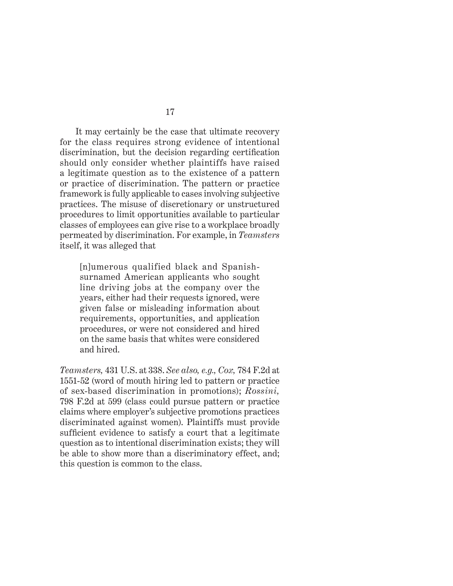It may certainly be the case that ultimate recovery for the class requires strong evidence of intentional discrimination, but the decision regarding certification should only consider whether plaintiffs have raised a legitimate question as to the existence of a pattern or practice of discrimination. The pattern or practice framework is fully applicable to cases involving subjective practices. The misuse of discretionary or unstructured procedures to limit opportunities available to particular classes of employees can give rise to a workplace broadly permeated by discrimination. For example, in *Teamsters* itself, it was alleged that

[n]umerous qualified black and Spanishsurnamed American applicants who sought line driving jobs at the company over the years, either had their requests ignored, were given false or misleading information about requirements, opportunities, and application procedures, or were not considered and hired on the same basis that whites were considered and hired.

*Teamsters,* 431 U.S. at 338. *See also, e.g., Cox,* 784 F.2d at 1551-52 (word of mouth hiring led to pattern or practice of sex-based discrimination in promotions); *Rossini,* 798 F.2d at 599 (class could pursue pattern or practice claims where employer's subjective promotions practices discriminated against women). Plaintiffs must provide sufficient evidence to satisfy a court that a legitimate question as to intentional discrimination exists; they will be able to show more than a discriminatory effect, and; this question is common to the class.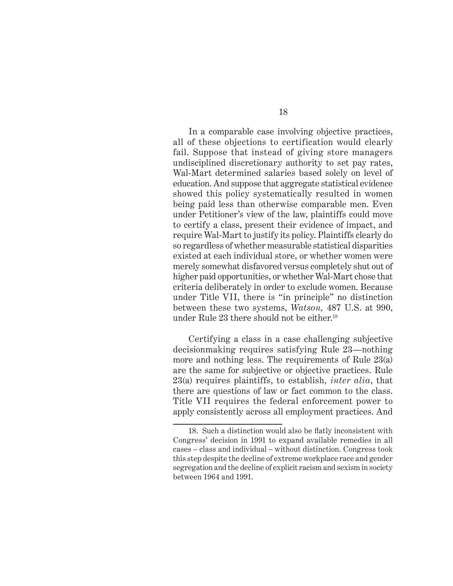In a comparable case involving objective practices, all of these objections to certification would clearly fail. Suppose that instead of giving store managers undisciplined discretionary authority to set pay rates, Wal-Mart determined salaries based solely on level of education. And suppose that aggregate statistical evidence showed this policy systematically resulted in women being paid less than otherwise comparable men. Even under Petitioner's view of the law, plaintiffs could move to certify a class, present their evidence of impact, and require Wal-Mart to justify its policy. Plaintiffs clearly do so regardless of whether measurable statistical disparities existed at each individual store, or whether women were merely somewhat disfavored versus completely shut out of higher paid opportunities, or whether Wal-Mart chose that criteria deliberately in order to exclude women. Because under Title VII, there is "in principle" no distinction between these two systems, *Watson,* 487 U.S. at 990, under Rule 23 there should not be either.<sup>18</sup>

Certifying a class in a case challenging subjective decisionmaking requires satisfying Rule 23—nothing more and nothing less. The requirements of Rule 23(a) are the same for subjective or objective practices. Rule 23(a) requires plaintiffs, to establish, *inter alia*, that there are questions of law or fact common to the class. Title VII requires the federal enforcement power to apply consistently across all employment practices. And

<sup>18.</sup> Such a distinction would also be flatly inconsistent with Congress' decision in 1991 to expand available remedies in all cases – class and individual – without distinction. Congress took this step despite the decline of extreme workplace race and gender segregation and the decline of explicit racism and sexism in society between 1964 and 1991.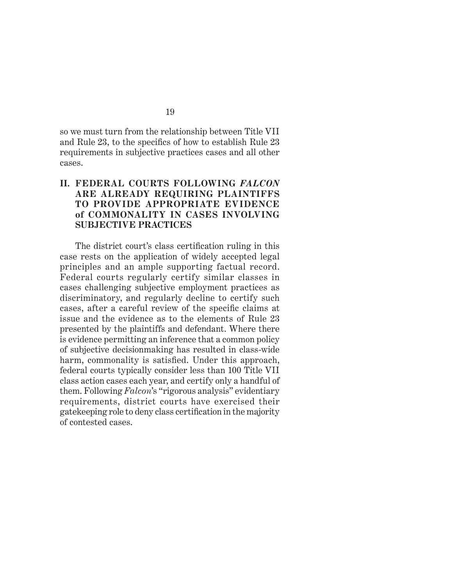so we must turn from the relationship between Title VII and Rule 23, to the specifics of how to establish Rule 23 requirements in subjective practices cases and all other cases.

### **II. FEDERAL COURTS FOLLOWING** *FALCON*  **ARE ALREADY REQUIRING PLAINTIFFS TO PROVIDE APPROPRIATE EVIDENCE of COMMONALITY IN CASES INVOLVING SUBJECTIVE PRACTICES**

The district court's class certification ruling in this case rests on the application of widely accepted legal principles and an ample supporting factual record. Federal courts regularly certify similar classes in cases challenging subjective employment practices as discriminatory, and regularly decline to certify such cases, after a careful review of the specific claims at issue and the evidence as to the elements of Rule 23 presented by the plaintiffs and defendant. Where there is evidence permitting an inference that a common policy of subjective decisionmaking has resulted in class-wide harm, commonality is satisfied. Under this approach, federal courts typically consider less than 100 Title VII class action cases each year, and certify only a handful of them. Following *Falcon*'s "rigorous analysis" evidentiary requirements, district courts have exercised their gatekeeping role to deny class certification in the majority of contested cases.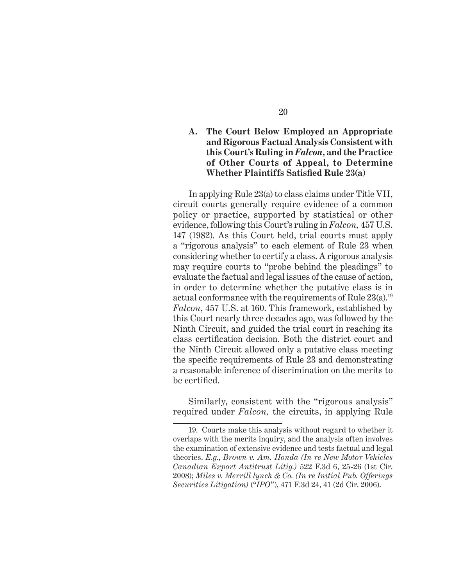### **A. The Court Below Employed an Appropriate and Rigorous Factual Analysis Consistent with this Court's Ruling in** *Falcon***, and the Practice of Other Courts of Appeal, to Determine Whether Plaintiffs Satisfied Rule 23(a)**

In applying Rule 23(a) to class claims under Title VII, circuit courts generally require evidence of a common policy or practice, supported by statistical or other evidence, following this Court's ruling in *Falcon,* 457 U.S. 147 (1982). As this Court held, trial courts must apply a "rigorous analysis" to each element of Rule 23 when considering whether to certify a class. A rigorous analysis may require courts to "probe behind the pleadings" to evaluate the factual and legal issues of the cause of action, in order to determine whether the putative class is in actual conformance with the requirements of Rule 23(a).19 *Falcon*, 457 U.S. at 160. This framework, established by this Court nearly three decades ago, was followed by the Ninth Circuit, and guided the trial court in reaching its class certification decision. Both the district court and the Ninth Circuit allowed only a putative class meeting the specific requirements of Rule 23 and demonstrating a reasonable inference of discrimination on the merits to be certified.

Similarly, consistent with the "rigorous analysis" required under *Falcon,* the circuits, in applying Rule

<sup>19.</sup> Courts make this analysis without regard to whether it overlaps with the merits inquiry, and the analysis often involves the examination of extensive evidence and tests factual and legal theories. *E.g.*, *Brown v. Am. Honda (In re New Motor Vehicles Canadian Export Antitrust Litig.)* 522 F.3d 6, 25-26 (1st Cir. 2008); *Miles v. Merrill lynch & Co. (In re Initial Pub. Offerings Securities Litigation)* ("*IPO*"), 471 F.3d 24, 41 (2d Cir. 2006).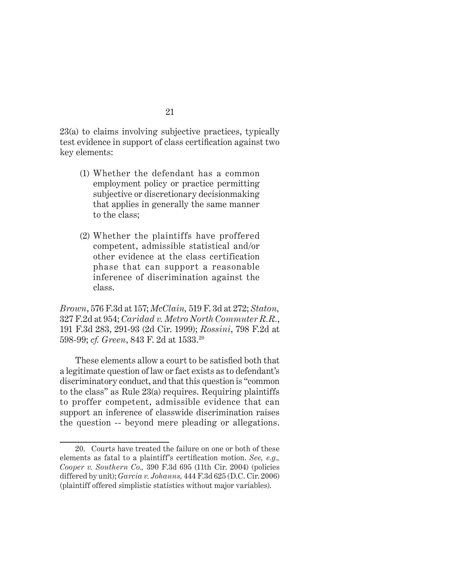23(a) to claims involving subjective practices, typically test evidence in support of class certification against two key elements:

- (1) Whether the defendant has a common employment policy or practice permitting subjective or discretionary decisionmaking that applies in generally the same manner to the class;
- (2) Whether the plaintiffs have proffered competent, admissible statistical and/or other evidence at the class certification phase that can support a reasonable inference of discrimination against the class.

*Brown*, 576 F.3d at 157; *McClain,* 519 F. 3d at 272; *Staton,* 327 F.2d at 954; *Caridad v. Metro North Commuter R.R.*, 191 F.3d 283, 291-93 (2d Cir. 1999); *Rossini*, 798 F.2d at 598-99; *cf. Green*, 843 F. 2d at 1533.20

These elements allow a court to be satisfied both that a legitimate question of law or fact exists as to defendant's discriminatory conduct, and that this question is "common to the class" as Rule 23(a) requires. Requiring plaintiffs to proffer competent, admissible evidence that can support an inference of classwide discrimination raises the question -- beyond mere pleading or allegations.

<sup>20.</sup> Courts have treated the failure on one or both of these elements as fatal to a plaintiff's certification motion. *See, e.g.*, *Cooper v. Southern Co.,* 390 F.3d 695 (11th Cir. 2004) (policies differed by unit); *Garcia v. Johanns,* 444 F.3d 625 (D.C. Cir. 2006) (plaintiff offered simplistic statistics without major variables).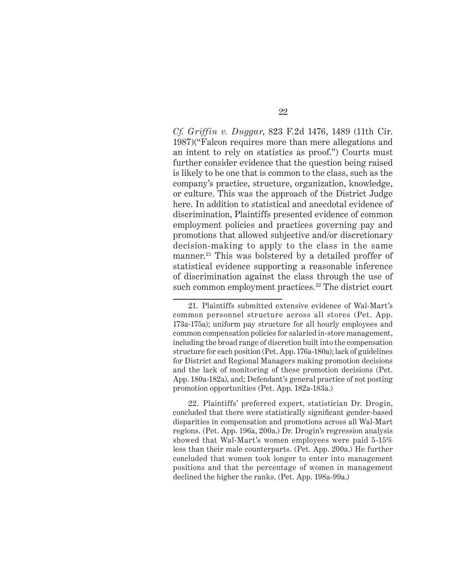*Cf. Griffin v. Duggar*, 823 F.2d 1476, 1489 (11th Cir. 1987)("Falcon requires more than mere allegations and an intent to rely on statistics as proof.") Courts must further consider evidence that the question being raised is likely to be one that is common to the class, such as the company's practice, structure, organization, knowledge, or culture. This was the approach of the District Judge here. In addition to statistical and anecdotal evidence of discrimination, Plaintiffs presented evidence of common employment policies and practices governing pay and promotions that allowed subjective and/or discretionary decision-making to apply to the class in the same manner.<sup>21</sup> This was bolstered by a detailed proffer of statistical evidence supporting a reasonable inference of discrimination against the class through the use of such common employment practices.<sup>22</sup> The district court

22. Plaintiffs' preferred expert, statistician Dr. Drogin, concluded that there were statistically significant gender-based disparities in compensation and promotions across all Wal-Mart regions. (Pet. App. 196a, 200a.) Dr. Drogin's regression analysis showed that Wal-Mart's women employees were paid 5-15% less than their male counterparts. (Pet. App. 200a.) He further concluded that women took longer to enter into management positions and that the percentage of women in management declined the higher the ranks. (Pet. App. 198a-99a.)

<sup>21.</sup> Plaintiffs submitted extensive evidence of Wal-Mart's common personnel structure across all stores (Pet. App. 173a-175a); uniform pay structure for all hourly employees and common compensation policies for salaried in-store management, including the broad range of discretion built into the compensation structure for each position (Pet. App. 176a-180a); lack of guidelines for District and Regional Managers making promotion decisions and the lack of monitoring of these promotion decisions (Pet. App. 180a-182a), and; Defendant's general practice of not posting promotion opportunities (Pet. App. 182a-183a.)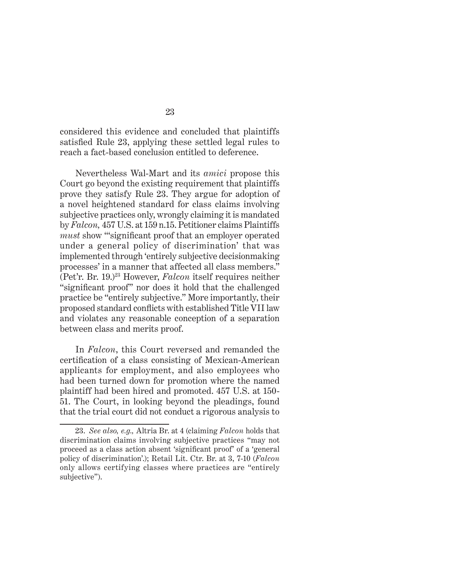considered this evidence and concluded that plaintiffs satisfied Rule 23, applying these settled legal rules to reach a fact-based conclusion entitled to deference.

Nevertheless Wal-Mart and its *amici* propose this Court go beyond the existing requirement that plaintiffs prove they satisfy Rule 23. They argue for adoption of a novel heightened standard for class claims involving subjective practices only, wrongly claiming it is mandated by *Falcon,* 457 U.S. at 159 n.15. Petitioner claims Plaintiffs *must* show "significant proof that an employer operated under a general policy of discrimination' that was implemented through 'entirely subjective decisionmaking processes' in a manner that affected all class members." (Pet'r. Br. 19.)23 However, *Falcon* itself requires neither "significant proof" nor does it hold that the challenged practice be "entirely subjective." More importantly, their proposed standard conflicts with established Title VII law and violates any reasonable conception of a separation between class and merits proof.

In *Falcon*, this Court reversed and remanded the certification of a class consisting of Mexican-American applicants for employment, and also employees who had been turned down for promotion where the named plaintiff had been hired and promoted. 457 U.S. at 150- 51. The Court, in looking beyond the pleadings, found that the trial court did not conduct a rigorous analysis to

<sup>23.</sup> *See also, e.g.,* Altria Br. at 4 (claiming *Falcon* holds that discrimination claims involving subjective practices "may not proceed as a class action absent 'significant proof' of a 'general policy of discrimination'.); Retail Lit. Ctr. Br. at 3, 7-10 (*Falcon* only allows certifying classes where practices are "entirely subjective").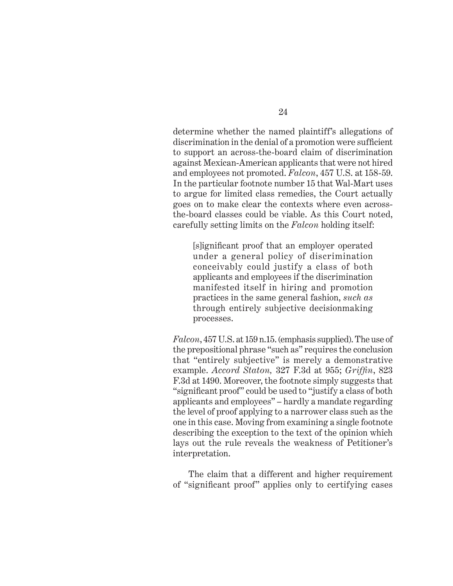determine whether the named plaintiff's allegations of discrimination in the denial of a promotion were sufficient to support an across-the-board claim of discrimination against Mexican-American applicants that were not hired and employees not promoted. *Falcon*, 457 U.S. at 158-59. In the particular footnote number 15 that Wal-Mart uses to argue for limited class remedies, the Court actually goes on to make clear the contexts where even acrossthe-board classes could be viable. As this Court noted, carefully setting limits on the *Falcon* holding itself:

[s]ignificant proof that an employer operated under a general policy of discrimination conceivably could justify a class of both applicants and employees if the discrimination manifested itself in hiring and promotion practices in the same general fashion, *such as* through entirely subjective decisionmaking processes.

*Falcon*, 457 U.S. at 159 n.15. (emphasis supplied). The use of the prepositional phrase "such as" requires the conclusion that "entirely subjective" is merely a demonstrative example. *Accord Staton*, 327 F.3d at 955; *Griffin*, 823 F.3d at 1490. Moreover, the footnote simply suggests that "significant proof" could be used to "justify a class of both applicants and employees" – hardly a mandate regarding the level of proof applying to a narrower class such as the one in this case. Moving from examining a single footnote describing the exception to the text of the opinion which lays out the rule reveals the weakness of Petitioner's interpretation.

The claim that a different and higher requirement of "significant proof" applies only to certifying cases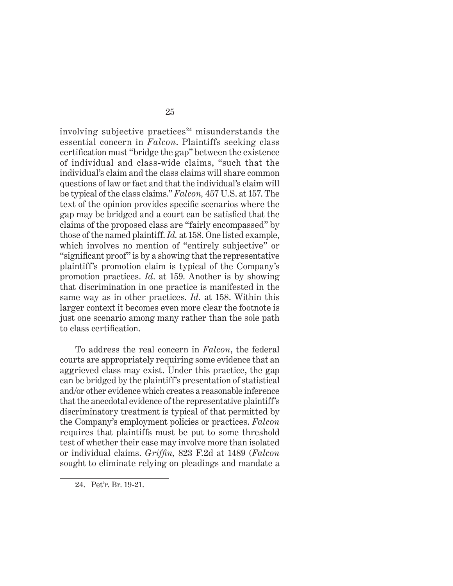involving subjective practices $24$  misunderstands the essential concern in *Falcon*. Plaintiffs seeking class certification must "bridge the gap" between the existence of individual and class-wide claims, "such that the individual's claim and the class claims will share common questions of law or fact and that the individual's claim will be typical of the class claims." *Falcon,* 457 U.S. at 157. The text of the opinion provides specific scenarios where the gap may be bridged and a court can be satisfied that the claims of the proposed class are "fairly encompassed" by those of the named plaintiff. *Id.* at 158. One listed example, which involves no mention of "entirely subjective" or "significant proof" is by a showing that the representative plaintiff's promotion claim is typical of the Company's promotion practices. *Id*. at 159. Another is by showing that discrimination in one practice is manifested in the same way as in other practices. *Id.* at 158. Within this larger context it becomes even more clear the footnote is just one scenario among many rather than the sole path to class certification.

To address the real concern in *Falcon*, the federal courts are appropriately requiring some evidence that an aggrieved class may exist. Under this practice, the gap can be bridged by the plaintiff's presentation of statistical and/or other evidence which creates a reasonable inference that the anecdotal evidence of the representative plaintiff's discriminatory treatment is typical of that permitted by the Company's employment policies or practices. *Falcon* requires that plaintiffs must be put to some threshold test of whether their case may involve more than isolated or individual claims. *Griffin*, 823 F.2d at 1489 (*Falcon*) sought to eliminate relying on pleadings and mandate a

<sup>24.</sup> Pet'r. Br. 19-21.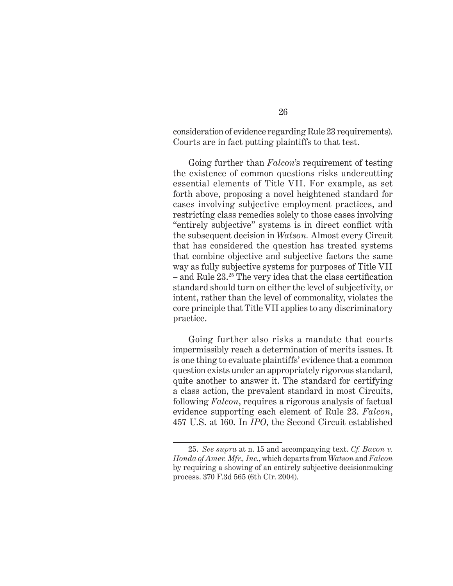consideration of evidence regarding Rule 23 requirements). Courts are in fact putting plaintiffs to that test.

Going further than *Falcon*'s requirement of testing the existence of common questions risks undercutting essential elements of Title VII. For example, as set forth above, proposing a novel heightened standard for cases involving subjective employment practices, and restricting class remedies solely to those cases involving "entirely subjective" systems is in direct conflict with the subsequent decision in *Watson.* Almost every Circuit that has considered the question has treated systems that combine objective and subjective factors the same way as fully subjective systems for purposes of Title VII – and Rule  $23.^{25}$  The very idea that the class certification standard should turn on either the level of subjectivity, or intent, rather than the level of commonality, violates the core principle that Title VII applies to any discriminatory practice.

Going further also risks a mandate that courts impermissibly reach a determination of merits issues. It is one thing to evaluate plaintiffs' evidence that a common question exists under an appropriately rigorous standard, quite another to answer it. The standard for certifying a class action, the prevalent standard in most Circuits, following *Falcon*, requires a rigorous analysis of factual evidence supporting each element of Rule 23. *Falcon*, 457 U.S. at 160. In *IPO*, the Second Circuit established

<sup>25.</sup> *See supra* at n. 15 and accompanying text. *Cf. Bacon v. Honda of Amer. Mfr., Inc.*, which departs from *Watson* and *Falcon* by requiring a showing of an entirely subjective decisionmaking process. 370 F.3d 565 (6th Cir. 2004).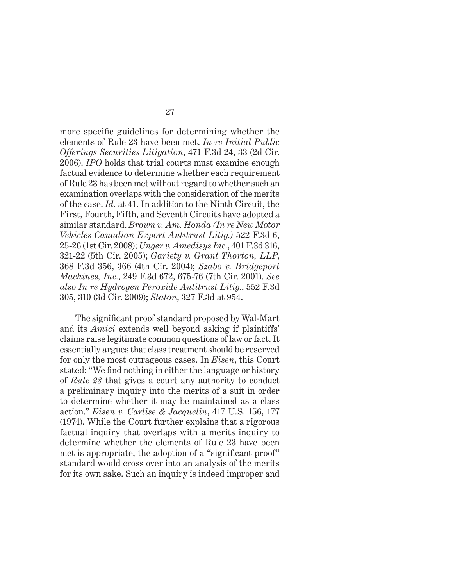more specific guidelines for determining whether the elements of Rule 23 have been met. *In re Initial Public Offerings Securities Litigation*, 471 F.3d 24, 33 (2d Cir. 2006). *IPO* holds that trial courts must examine enough factual evidence to determine whether each requirement of Rule 23 has been met without regard to whether such an examination overlaps with the consideration of the merits of the case. *Id.* at 41. In addition to the Ninth Circuit, the First, Fourth, Fifth, and Seventh Circuits have adopted a similar standard. *Brown v. Am. Honda (In re New Motor Vehicles Canadian Export Antitrust Litig.)* 522 F.3d 6, 25-26 (1st Cir. 2008); *Unger v. Amedisys Inc.*, 401 F.3d 316, 321-22 (5th Cir. 2005); *Gariety v. Grant Thorton, LLP*, 368 F.3d 356, 366 (4th Cir. 2004); *Szabo v. Bridgeport Machines, Inc.*, 249 F.3d 672, 675-76 (7th Cir. 2001). *See also In re Hydrogen Peroxide Antitrust Litig.*, 552 F.3d 305, 310 (3d Cir. 2009); *Staton*, 327 F.3d at 954.

The significant proof standard proposed by Wal-Mart and its *Amici* extends well beyond asking if plaintiffs' claims raise legitimate common questions of law or fact. It essentially argues that class treatment should be reserved for only the most outrageous cases. In *Eisen*, this Court stated: "We find nothing in either the language or history of *Rule 23* that gives a court any authority to conduct a preliminary inquiry into the merits of a suit in order to determine whether it may be maintained as a class action." *Eisen v. Carlise & Jacquelin*, 417 U.S. 156, 177 (1974). While the Court further explains that a rigorous factual inquiry that overlaps with a merits inquiry to determine whether the elements of Rule 23 have been met is appropriate, the adoption of a "significant proof" standard would cross over into an analysis of the merits for its own sake. Such an inquiry is indeed improper and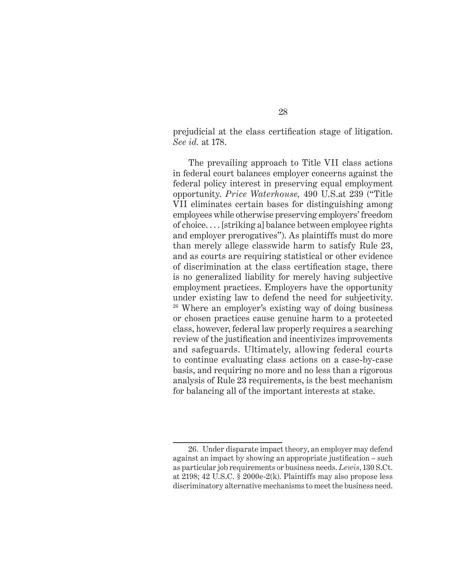prejudicial at the class certification stage of litigation. *See id.* at 178.

The prevailing approach to Title VII class actions in federal court balances employer concerns against the federal policy interest in preserving equal employment opportunity. *Price Waterhouse,* 490 U.S.at 239 ("Title VII eliminates certain bases for distinguishing among employees while otherwise preserving employers' freedom of choice. . . . [striking a] balance between employee rights and employer prerogatives"). As plaintiffs must do more than merely allege classwide harm to satisfy Rule 23, and as courts are requiring statistical or other evidence of discrimination at the class certification stage, there is no generalized liability for merely having subjective employment practices. Employers have the opportunity under existing law to defend the need for subjectivity. 26 Where an employer's existing way of doing business or chosen practices cause genuine harm to a protected class, however, federal law properly requires a searching review of the justification and incentivizes improvements and safeguards. Ultimately, allowing federal courts to continue evaluating class actions on a case-by-case basis, and requiring no more and no less than a rigorous analysis of Rule 23 requirements, is the best mechanism for balancing all of the important interests at stake.

<sup>26.</sup> Under disparate impact theory, an employer may defend against an impact by showing an appropriate justification – such as particular job requirements or business needs. *Lewis*, 130 S.Ct. at 2198; 42 U.S.C. § 2000e-2(k). Plaintiffs may also propose less discriminatory alternative mechanisms to meet the business need.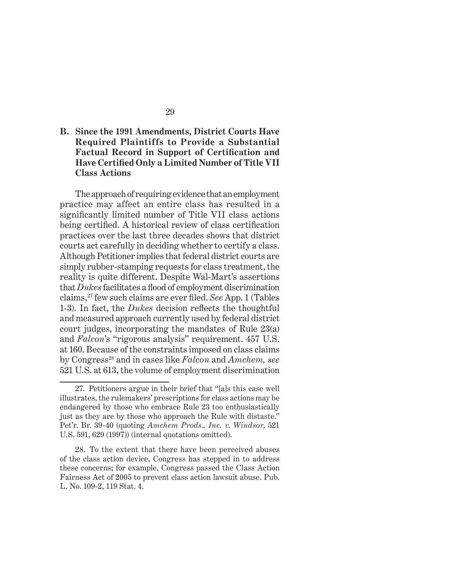### **B. Since the 1991 Amendments, District Courts Have Required Plaintiffs to Provide a Substantial Factual Record in Support of Certification and Have Certified Only a Limited Number of Title VII Class Actions**

The approach of requiring evidence that an employment practice may affect an entire class has resulted in a significantly limited number of Title VII class actions being certified. A historical review of class certification practices over the last three decades shows that district courts act carefully in deciding whether to certify a class. Although Petitioner implies that federal district courts are simply rubber-stamping requests for class treatment, the reality is quite different. Despite Wal-Mart's assertions that *Dukes* facilitates a flood of employment discrimination claims,27 few such claims are ever fi led. *See* App. 1 (Tables 1-3). In fact, the *Dukes* decision reflects the thoughtful and measured approach currently used by federal district court judges, incorporating the mandates of Rule 23(a) and *Falcon*'s "rigorous analysis" requirement. 457 U.S. at 160. Because of the constraints imposed on class claims by Congress28 and in cases like *Falcon* and *Amchem, see*  521 U.S. at 613, the volume of employment discrimination

<sup>27.</sup> Petitioners argue in their brief that "[a]s this case well illustrates, the rulemakers' prescriptions for class actions may be endangered by those who embrace Rule 23 too enthusiastically just as they are by those who approach the Rule with distaste." Pet'r. Br. 39-40 (quoting *Amchem Prods., Inc. v. Windsor*, 521 U.S. 591, 629 (1997)) (internal quotations omitted).

<sup>28.</sup> To the extent that there have been perceived abuses of the class action device, Congress has stepped in to address these concerns; for example, Congress passed the Class Action Fairness Act of 2005 to prevent class action lawsuit abuse. Pub. L. No. 109-2, 119 Stat. 4.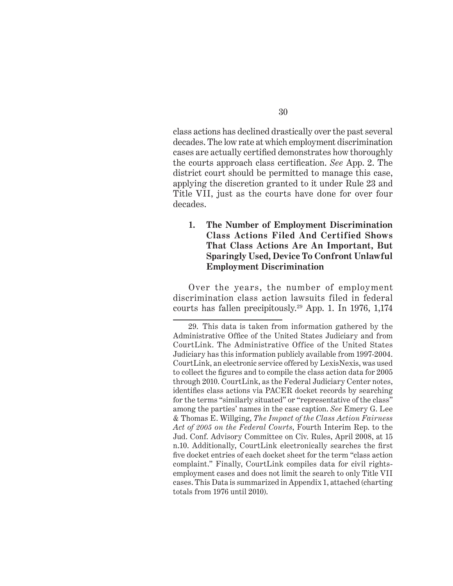class actions has declined drastically over the past several decades. The low rate at which employment discrimination cases are actually certified demonstrates how thoroughly the courts approach class certification. *See* App. 2. The district court should be permitted to manage this case, applying the discretion granted to it under Rule 23 and Title VII, just as the courts have done for over four decades.

**1. The Number of Employment Discrimination Class Actions Filed And Certified Shows That Class Actions Are An Important, But Sparingly Used, Device To Confront Unlawful Employment Discrimination** 

Over the years, the number of employment discrimination class action lawsuits filed in federal courts has fallen precipitously.29 App. 1. In 1976, 1,174

<sup>29.</sup> This data is taken from information gathered by the Administrative Office of the United States Judiciary and from CourtLink. The Administrative Office of the United States Judiciary has this information publicly available from 1997-2004. CourtLink, an electronic service offered by LexisNexis, was used to collect the figures and to compile the class action data for 2005 through 2010. CourtLink, as the Federal Judiciary Center notes, identifies class actions via PACER docket records by searching for the terms "similarly situated" or "representative of the class" among the parties' names in the case caption. *See* Emery G. Lee & Thomas E. Willging, *The Impact of the Class Action Fairness Act of 2005 on the Federal Courts*, Fourth Interim Rep. to the Jud. Conf. Advisory Committee on Civ. Rules, April 2008, at 15 n.10. Additionally, CourtLink electronically searches the first five docket entries of each docket sheet for the term "class action" complaint." Finally, CourtLink compiles data for civil rightsemployment cases and does not limit the search to only Title VII cases. This Data is summarized in Appendix 1, attached (charting totals from 1976 until 2010).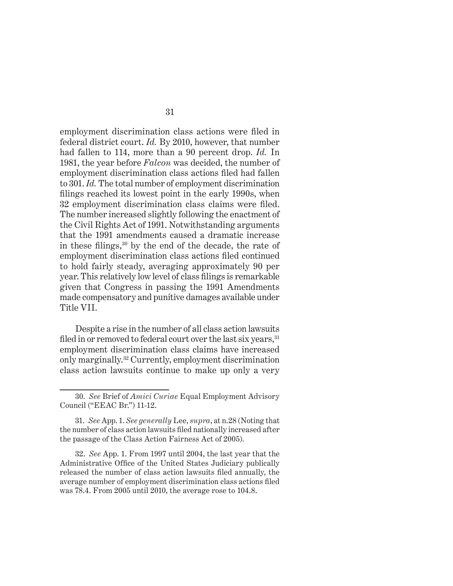employment discrimination class actions were filed in federal district court. *Id.* By 2010, however, that number had fallen to 114, more than a 90 percent drop. *Id.* In 1981, the year before *Falcon* was decided, the number of employment discrimination class actions filed had fallen to 301. *Id.* The total number of employment discrimination filings reached its lowest point in the early 1990s, when 32 employment discrimination class claims were filed. The number increased slightly following the enactment of the Civil Rights Act of 1991. Notwithstanding arguments that the 1991 amendments caused a dramatic increase in these filings,  $30$  by the end of the decade, the rate of employment discrimination class actions filed continued to hold fairly steady, averaging approximately 90 per year. This relatively low level of class filings is remarkable given that Congress in passing the 1991 Amendments made compensatory and punitive damages available under Title VII.

Despite a rise in the number of all class action lawsuits filed in or removed to federal court over the last six years, <sup>31</sup> employment discrimination class claims have increased only marginally.32 Currently, employment discrimination class action lawsuits continue to make up only a very

<sup>30.</sup> *See* Brief of *Amici Curiae* Equal Employment Advisory Council ("EEAC Br.") 11-12.

<sup>31.</sup> *See* App. 1. *See generally* Lee, *supra*, at n.28 (Noting that the number of class action lawsuits filed nationally increased after the passage of the Class Action Fairness Act of 2005).

<sup>32.</sup> *See* App. 1. From 1997 until 2004, the last year that the Administrative Office of the United States Judiciary publically released the number of class action lawsuits filed annually, the average number of employment discrimination class actions filed was 78.4. From 2005 until 2010, the average rose to 104.8.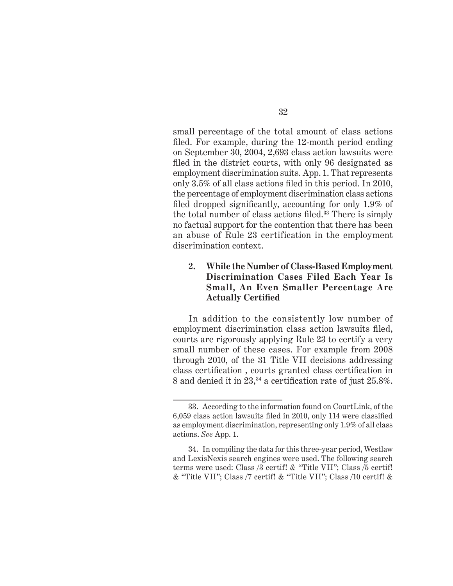small percentage of the total amount of class actions filed. For example, during the 12-month period ending on September 30, 2004, 2,693 class action lawsuits were filed in the district courts, with only 96 designated as employment discrimination suits. App. 1. That represents only  $3.5\%$  of all class actions filed in this period. In 2010, the percentage of employment discrimination class actions filed dropped significantly, accounting for only  $1.9\%$  of the total number of class actions filed. $33$  There is simply no factual support for the contention that there has been an abuse of Rule 23 certification in the employment discrimination context.

### **2. While the Number of Class-Based Employment Discrimination Cases Filed Each Year Is Small, An Even Smaller Percentage Are Actually Certified**

In addition to the consistently low number of employment discrimination class action lawsuits filed, courts are rigorously applying Rule 23 to certify a very small number of these cases. For example from 2008 through 2010, of the 31 Title VII decisions addressing class certification, courts granted class certification in 8 and denied it in  $23$ ,<sup>34</sup> a certification rate of just  $25.8\%$ .

<sup>33.</sup> According to the information found on CourtLink, of the 6,059 class action lawsuits filed in 2010, only 114 were classified as employment discrimination, representing only 1.9% of all class actions. *See* App. 1.

<sup>34.</sup> In compiling the data for this three-year period, Westlaw and LexisNexis search engines were used. The following search terms were used: Class /3 certif! & "Title VII"; Class /5 certif! & "Title VII"; Class /7 certif! & "Title VII"; Class /10 certif! &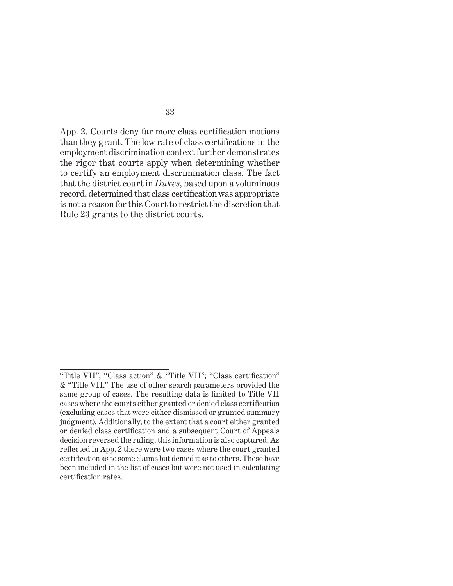App. 2. Courts deny far more class certification motions than they grant. The low rate of class certifications in the employment discrimination context further demonstrates the rigor that courts apply when determining whether to certify an employment discrimination class. The fact that the district court in *Dukes*, based upon a voluminous record, determined that class certification was appropriate is not a reason for this Court to restrict the discretion that Rule 23 grants to the district courts.

<sup>&</sup>quot;Title VII"; "Class action" & "Title VII"; "Class certification" & "Title VII." The use of other search parameters provided the same group of cases. The resulting data is limited to Title VII cases where the courts either granted or denied class certification (excluding cases that were either dismissed or granted summary judgment). Additionally, to the extent that a court either granted or denied class certification and a subsequent Court of Appeals decision reversed the ruling, this information is also captured. As reflected in App. 2 there were two cases where the court granted certification as to some claims but denied it as to others. These have been included in the list of cases but were not used in calculating certification rates.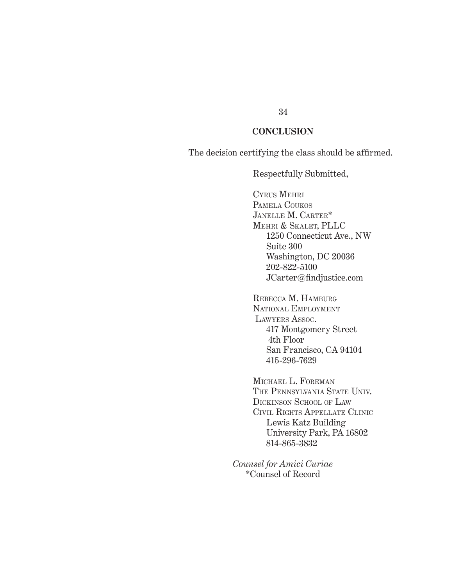#### **CONCLUSION**

The decision certifying the class should be affirmed.

Respectfully Submitted,

CYRUS MEHRI PAMELA COUKOS JANELLE M. CARTER\* MEHRI & SKALET, PLLC 1250 Connecticut Ave., NW Suite 300 Washington, DC 20036 202-822-5100 JCarter@findjustice.com

REBECCA M. HAMBURG NATIONAL EMPLOYMENT LAWYERS ASSOC. 417 Montgomery Street 4th Floor San Francisco, CA 94104 415-296-7629

MICHAEL L. FOREMAN THE PENNSYLVANIA STATE UNIV. DICKINSON SCHOOL OF LAW CIVIL RIGHTS APPELLATE CLINIC Lewis Katz Building University Park, PA 16802 814-865-3832

*Counsel for Amici Curiae* \*Counsel of Record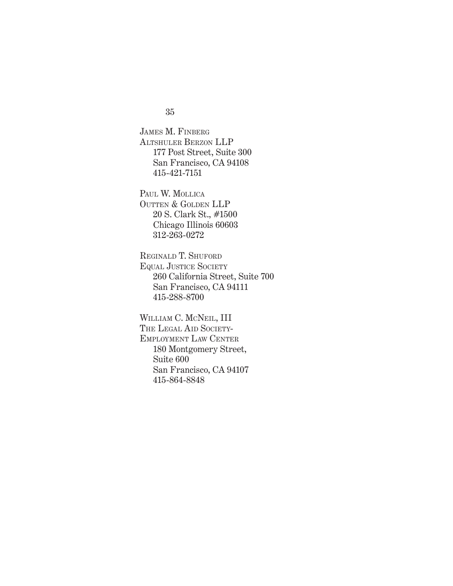35

JAMES M. FINBERG ALTSHULER BERZON LLP 177 Post Street, Suite 300 San Francisco, CA 94108 415-421-7151

PAUL W. MOLLICA OUTTEN & GOLDEN LLP 20 S. Clark St., #1500 Chicago Illinois 60603 312-263-0272

REGINALD T. SHUFORD EQUAL JUSTICE SOCIETY 260 California Street, Suite 700 San Francisco, CA 94111 415-288-8700

WILLIAM C. MCNEIL, III THE LEGAL AID SOCIETY-EMPLOYMENT LAW CENTER 180 Montgomery Street, Suite 600 San Francisco, CA 94107 415-864-8848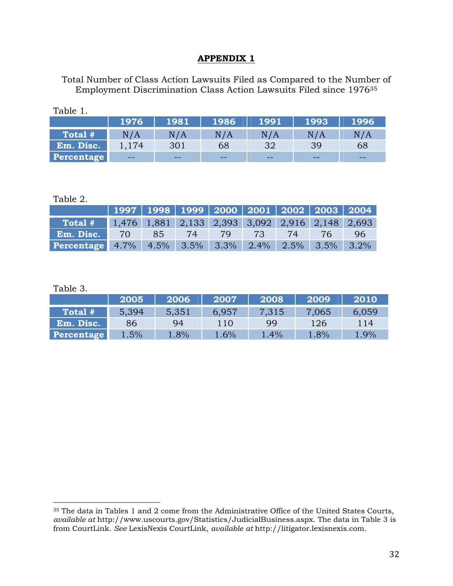### **APPENDIX 1**

Total Number of Class Action Lawsuits Filed as Compared to the Number of Employment Discrimination Class Action Lawsuits Filed since 197635

|                   | 1976  | 1981 | 1986  | 1991  | 1993  | 1996 |
|-------------------|-------|------|-------|-------|-------|------|
| Total #           | N/A   | N/A  | N/A   | N/A   | N / A | N/A  |
| Em. Disc.         | 1.174 | 301  | 68    | 32    | 39    | 68   |
| <b>Percentage</b> | $- -$ | $-1$ | $- -$ | $- -$ | $- -$ | --   |

#### Table 2.

Table 1.

|                                                                               | 1997   1998   1999   2000   2001   2002   2003   2004 <sub> </sub> |    |           |          |       |     |
|-------------------------------------------------------------------------------|--------------------------------------------------------------------|----|-----------|----------|-------|-----|
| <b>Total</b> # $\blacksquare$ 1,476 1,881 2,133 2,393 3,092 2,916 2,148 2,693 |                                                                    |    |           |          |       |     |
| Em. Disc. 70                                                                  |                                                                    | 85 | $\sim$ 74 | 79 73 74 | $-76$ | 96. |
| <b>Percentage</b> 4.7% 4.5% 3.5% 3.3% 2.4% 2.5% 3.5% 3.2%                     |                                                                    |    |           |          |       |     |

Table 3.

|                   | 2005  | 2006  | 2007  | 2008  | 2009  | 2010  |
|-------------------|-------|-------|-------|-------|-------|-------|
| Total #           | 5,394 | 5,351 | 6.957 | 7,315 | 7,065 | 6,059 |
| Em. Disc.         | 86    | 94    | 110   | 99    | 126   | 114   |
| <b>Percentage</b> | 1.5%  | 1.8%  | 1.6%  | 1.4%  | 1.8%  | 1.9%  |

<sup>&</sup>lt;sup>35</sup> The data in Tables 1 and 2 come from the Administrative Office of the United States Courts, *available at* http://www.uscourts.gov/Statistics/JudicialBusiness.aspx. The data in Table 3 is from CourtLink. *See* LexisNexis CourtLink, *available at* http://litigator.lexisnexis.com.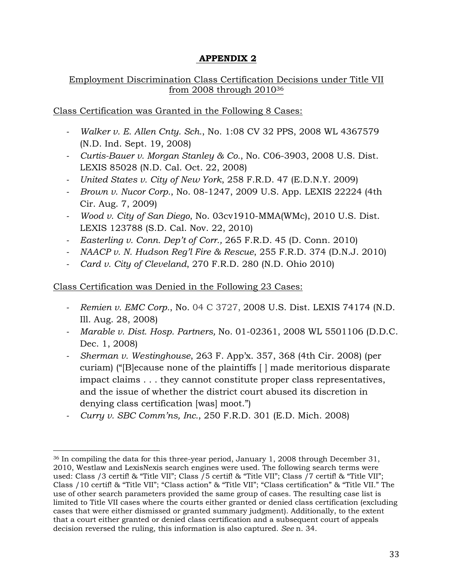## **APPENDIX 2**

### Employment Discrimination Class Certification Decisions under Title VII from 2008 through 201036

Class Certification was Granted in the Following 8 Cases:

- *‐ Walker v. E. Allen Cnty. Sch.*, No. 1:08 CV 32 PPS, 2008 WL 4367579 (N.D. Ind. Sept. 19, 2008)
- *‐ Curtis-Bauer v. Morgan Stanley & Co.*, No. C06-3903, 2008 U.S. Dist. LEXIS 85028 (N.D. Cal. Oct. 22, 2008)
- *‐ United States v. City of New York*, 258 F.R.D. 47 (E.D.N.Y. 2009)
- *‐ Brown v. Nucor Corp.*, No. 08-1247, 2009 U.S. App. LEXIS 22224 (4th Cir. Aug. 7, 2009)
- *‐ Wood v. City of San Diego*, No. 03cv1910-MMA(WMc), 2010 U.S. Dist. LEXIS 123788 (S.D. Cal. Nov. 22, 2010)
- *‐ Easterling v. Conn. Dep't of Corr.,* 265 F.R.D. 45 (D. Conn. 2010)
- *‐ NAACP v. N. Hudson Reg'l Fire & Rescue*, 255 F.R.D. 374 (D.N.J. 2010)
- *‐ Card v. City of Cleveland*, 270 F.R.D. 280 (N.D. Ohio 2010)

### Class Certification was Denied in the Following 23 Cases:

- *‐ Remien v. EMC Corp.*, No. 04 C 3727, 2008 U.S. Dist. LEXIS 74174 (N.D. Ill. Aug. 28, 2008)
- *‐ Marable v. Dist. Hosp. Partners,* No. 01-02361, 2008 WL 5501106 (D.D.C. Dec. 1, 2008)
- *‐ Sherman v. Westinghouse*, 263 F. App'x. 357, 368 (4th Cir. 2008) (per curiam) ("[B]ecause none of the plaintiffs [ ] made meritorious disparate impact claims . . . they cannot constitute proper class representatives, and the issue of whether the district court abused its discretion in denying class certification [was] moot.")
- *‐ Curry v. SBC Comm'ns, Inc.*, 250 F.R.D. 301 (E.D. Mich. 2008)

<sup>&</sup>lt;sup>36</sup> In compiling the data for this three-year period, January 1, 2008 through December 31, 2010, Westlaw and LexisNexis search engines were used. The following search terms were used: Class /3 certif! & "Title VII"; Class /5 certif! & "Title VII"; Class /7 certif! & "Title VII"; Class /10 certif! & "Title VII"; "Class action" & "Title VII"; "Class certification" & "Title VII." The use of other search parameters provided the same group of cases. The resulting case list is limited to Title VII cases where the courts either granted or denied class certification (excluding cases that were either dismissed or granted summary judgment). Additionally, to the extent that a court either granted or denied class certification and a subsequent court of appeals decision reversed the ruling, this information is also captured. *See* n. 34.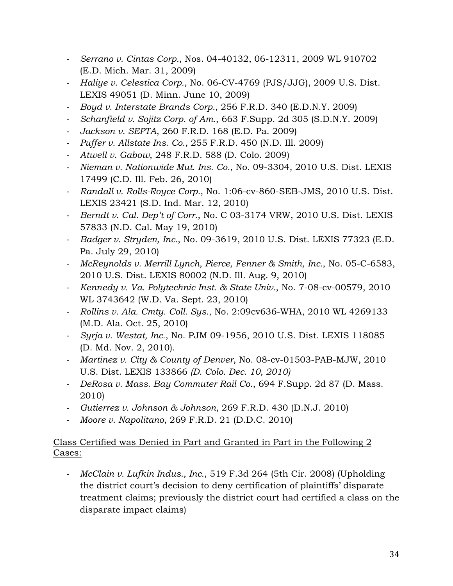- *‐ Serrano v. Cintas Corp.*, Nos. 04-40132, 06-12311, 2009 WL 910702 (E.D. Mich. Mar. 31, 2009)
- *‐ Haliye v. Celestica Corp.*, No. 06-CV-4769 (PJS/JJG), 2009 U.S. Dist. LEXIS 49051 (D. Minn. June 10, 2009)
- *‐ Boyd v. Interstate Brands Corp.*, 256 F.R.D. 340 (E.D.N.Y. 2009)
- *‐ Schanfield v. Sojitz Corp. of Am.*, 663 F.Supp. 2d 305 (S.D.N.Y. 2009)
- *‐ Jackson v. SEPTA*, 260 F.R.D. 168 (E.D. Pa. 2009)
- *‐ Puffer v. Allstate Ins. Co.*, 255 F.R.D. 450 (N.D. Ill. 2009)
- *‐ Atwell v. Gabow*, 248 F.R.D. 588 (D. Colo. 2009)
- *‐ Nieman v. Nationwide Mut. Ins. Co.*, No. 09-3304, 2010 U.S. Dist. LEXIS 17499 (C.D. Ill. Feb. 26, 2010)
- *‐ Randall v. Rolls-Royce Corp.*, No. 1:06-cv-860-SEB-JMS, 2010 U.S. Dist. LEXIS 23421 (S.D. Ind. Mar. 12, 2010)
- *‐ Berndt v. Cal. Dep't of Corr.*, No. C 03-3174 VRW, 2010 U.S. Dist. LEXIS 57833 (N.D. Cal. May 19, 2010)
- *‐ Badger v. Stryden, Inc.*, No. 09-3619, 2010 U.S. Dist. LEXIS 77323 (E.D. Pa. July 29, 2010)
- *‐ McReynolds v. Merrill Lynch, Pierce, Fenner & Smith, Inc.*, No. 05-C-6583, 2010 U.S. Dist. LEXIS 80002 (N.D. Ill. Aug. 9, 2010)
- *‐ Kennedy v. Va. Polytechnic Inst. & State Univ.*, No. 7-08-cv-00579, 2010 WL 3743642 (W.D. Va. Sept. 23, 2010)
- *‐ Rollins v. Ala. Cmty. Coll. Sys.*, No. 2:09cv636-WHA, 2010 WL 4269133 (M.D. Ala. Oct. 25, 2010)
- *‐ Syrja v. Westat, Inc.*, No. PJM 09-1956, 2010 U.S. Dist. LEXIS 118085 (D. Md. Nov. 2, 2010).
- *‐ Martinez v. City & County of Denver*, No. 08-cv-01503-PAB-MJW, 2010 U.S. Dist. LEXIS 133866 *(D. Colo. Dec. 10, 2010)*
- *‐ DeRosa v. Mass. Bay Commuter Rail Co.*, 694 F.Supp. 2d 87 (D. Mass. 2010)
- *‐ Gutierrez v. Johnson & Johnson*, 269 F.R.D. 430 (D.N.J. 2010)
- *‐ Moore v. Napolitano*, 269 F.R.D. 21 (D.D.C. 2010)

## Class Certified was Denied in Part and Granted in Part in the Following 2 Cases:

‐ *McClain v. Lufkin Indus., Inc.*, 519 F.3d 264 (5th Cir. 2008) (Upholding the district court's decision to deny certification of plaintiffs' disparate treatment claims; previously the district court had certified a class on the disparate impact claims)